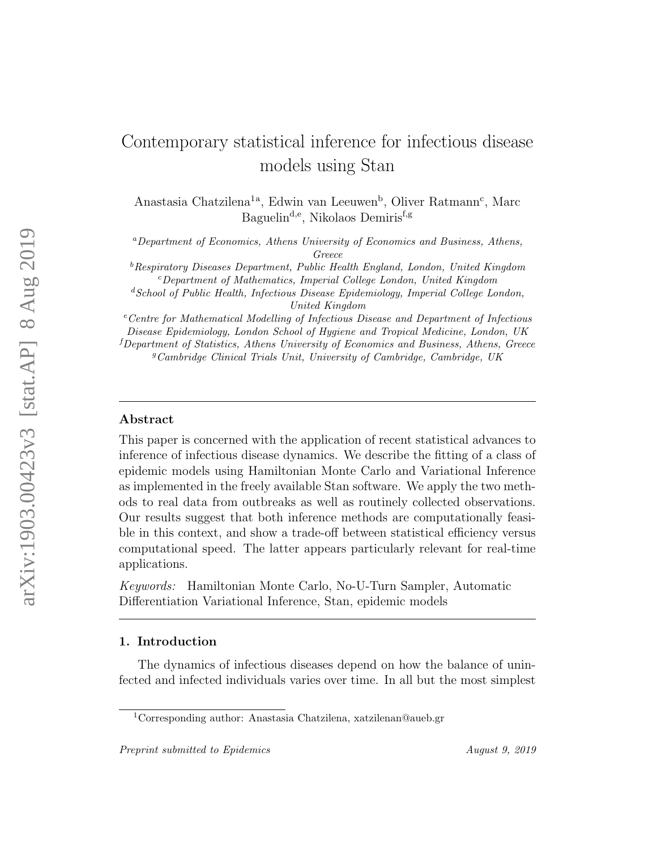# Contemporary statistical inference for infectious disease models using Stan

Anastasia Chatzilena<sup>1a</sup>, Edwin van Leeuwen<sup>b</sup>, Oliver Ratmann<sup>c</sup>, Marc  $Baguelin<sup>d,e</sup>, Nikolaos Demiris<sup>f,g</sup>$ 

<sup>a</sup>Department of Economics, Athens University of Economics and Business, Athens, Greece

 $b$ Respiratory Diseases Department, Public Health England, London, United Kingdom  $c$  Department of Mathematics, Imperial College London, United Kingdom

 ${}^{d}S$ chool of Public Health, Infectious Disease Epidemiology, Imperial College London, United Kingdom

<sup>e</sup>Centre for Mathematical Modelling of Infectious Disease and Department of Infectious Disease Epidemiology, London School of Hygiene and Tropical Medicine, London, UK

 $<sup>f</sup> Department of Statistics, Athens University of Economics and Business, Athens, Greece$ </sup> <sup>9</sup> Cambridge Clinical Trials Unit, University of Cambridge, Cambridge, UK

#### Abstract

This paper is concerned with the application of recent statistical advances to inference of infectious disease dynamics. We describe the fitting of a class of epidemic models using Hamiltonian Monte Carlo and Variational Inference as implemented in the freely available Stan software. We apply the two methods to real data from outbreaks as well as routinely collected observations. Our results suggest that both inference methods are computationally feasible in this context, and show a trade-off between statistical efficiency versus computational speed. The latter appears particularly relevant for real-time applications.

Keywords: Hamiltonian Monte Carlo, No-U-Turn Sampler, Automatic Differentiation Variational Inference, Stan, epidemic models

#### 1. Introduction

The dynamics of infectious diseases depend on how the balance of uninfected and infected individuals varies over time. In all but the most simplest

<sup>1</sup>Corresponding author: Anastasia Chatzilena, xatzilenan@aueb.gr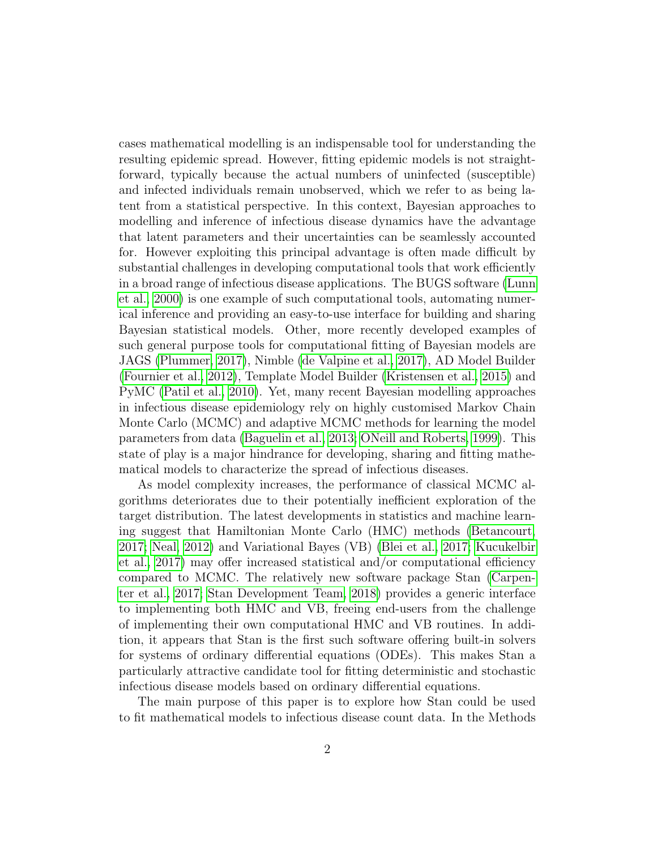cases mathematical modelling is an indispensable tool for understanding the resulting epidemic spread. However, fitting epidemic models is not straightforward, typically because the actual numbers of uninfected (susceptible) and infected individuals remain unobserved, which we refer to as being latent from a statistical perspective. In this context, Bayesian approaches to modelling and inference of infectious disease dynamics have the advantage that latent parameters and their uncertainties can be seamlessly accounted for. However exploiting this principal advantage is often made difficult by substantial challenges in developing computational tools that work efficiently in a broad range of infectious disease applications. The BUGS software [\(Lunn](#page-37-0) [et al., 2000\)](#page-37-0) is one example of such computational tools, automating numerical inference and providing an easy-to-use interface for building and sharing Bayesian statistical models. Other, more recently developed examples of such general purpose tools for computational fitting of Bayesian models are JAGS [\(Plummer, 2017\)](#page-37-1), Nimble [\(de Valpine et al., 2017\)](#page-35-0), AD Model Builder [\(Fournier et al., 2012\)](#page-35-1), Template Model Builder [\(Kristensen et al., 2015\)](#page-36-0) and PyMC [\(Patil et al., 2010\)](#page-37-2). Yet, many recent Bayesian modelling approaches in infectious disease epidemiology rely on highly customised Markov Chain Monte Carlo (MCMC) and adaptive MCMC methods for learning the model parameters from data [\(Baguelin et al., 2013;](#page-34-0) [ONeill and Roberts, 1999\)](#page-37-3). This state of play is a major hindrance for developing, sharing and fitting mathematical models to characterize the spread of infectious diseases.

As model complexity increases, the performance of classical MCMC algorithms deteriorates due to their potentially inefficient exploration of the target distribution. The latest developments in statistics and machine learning suggest that Hamiltonian Monte Carlo (HMC) methods [\(Betancourt,](#page-34-1) [2017;](#page-34-1) [Neal, 2012\)](#page-37-4) and Variational Bayes (VB) [\(Blei et al., 2017;](#page-34-2) [Kucukelbir](#page-36-1) [et al., 2017\)](#page-36-1) may offer increased statistical and/or computational efficiency compared to MCMC. The relatively new software package Stan [\(Carpen](#page-35-2)[ter et al., 2017;](#page-35-2) [Stan Development Team, 2018\)](#page-38-0) provides a generic interface to implementing both HMC and VB, freeing end-users from the challenge of implementing their own computational HMC and VB routines. In addition, it appears that Stan is the first such software offering built-in solvers for systems of ordinary differential equations (ODEs). This makes Stan a particularly attractive candidate tool for fitting deterministic and stochastic infectious disease models based on ordinary differential equations.

The main purpose of this paper is to explore how Stan could be used to fit mathematical models to infectious disease count data. In the Methods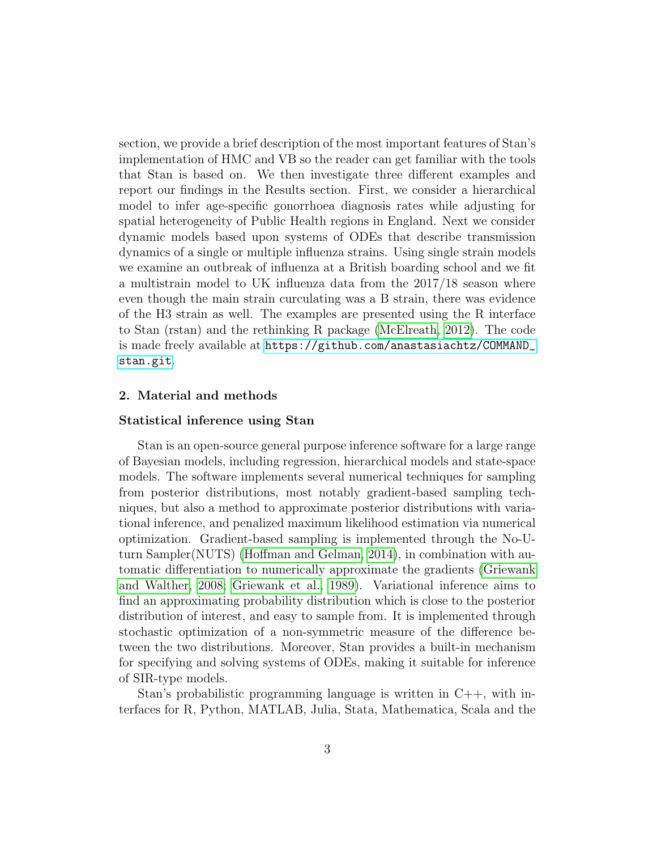section, we provide a brief description of the most important features of Stan's implementation of HMC and VB so the reader can get familiar with the tools that Stan is based on. We then investigate three different examples and report our findings in the Results section. First, we consider a hierarchical model to infer age-specific gonorrhoea diagnosis rates while adjusting for spatial heterogeneity of Public Health regions in England. Next we consider dynamic models based upon systems of ODEs that describe transmission dynamics of a single or multiple influenza strains. Using single strain models we examine an outbreak of influenza at a British boarding school and we fit a multistrain model to UK influenza data from the 2017/18 season where even though the main strain curculating was a B strain, there was evidence of the H3 strain as well. The examples are presented using the R interface to Stan (rstan) and the rethinking R package [\(McElreath, 2012\)](#page-37-5). The code is made freely available at [https://github.com/anastasiachtz/COMMAND\\_](https://github.com/anastasiachtz/COMMAND_stan.git) [stan.git](https://github.com/anastasiachtz/COMMAND_stan.git).

# 2. Material and methods

#### Statistical inference using Stan

Stan is an open-source general purpose inference software for a large range of Bayesian models, including regression, hierarchical models and state-space models. The software implements several numerical techniques for sampling from posterior distributions, most notably gradient-based sampling techniques, but also a method to approximate posterior distributions with variational inference, and penalized maximum likelihood estimation via numerical optimization. Gradient-based sampling is implemented through the No-Uturn Sampler(NUTS) [\(Hoffman and Gelman, 2014\)](#page-36-2), in combination with automatic differentiation to numerically approximate the gradients [\(Griewank](#page-36-3) [and Walther, 2008;](#page-36-3) [Griewank et al., 1989\)](#page-36-4). Variational inference aims to find an approximating probability distribution which is close to the posterior distribution of interest, and easy to sample from. It is implemented through stochastic optimization of a non-symmetric measure of the difference between the two distributions. Moreover, Stan provides a built-in mechanism for specifying and solving systems of ODEs, making it suitable for inference of SIR-type models.

Stan's probabilistic programming language is written in  $C_{++}$ , with interfaces for R, Python, MATLAB, Julia, Stata, Mathematica, Scala and the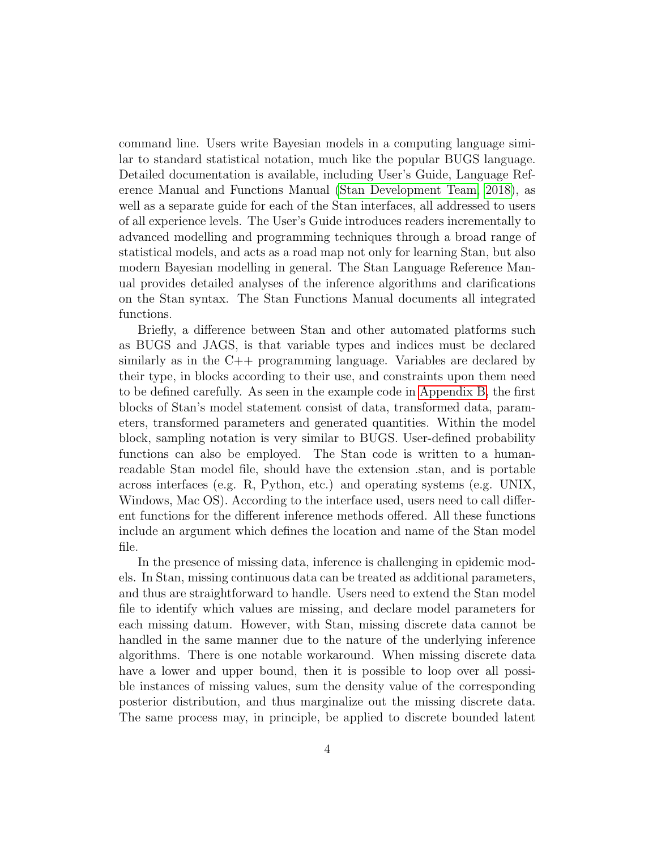command line. Users write Bayesian models in a computing language similar to standard statistical notation, much like the popular BUGS language. Detailed documentation is available, including User's Guide, Language Reference Manual and Functions Manual [\(Stan Development Team, 2018\)](#page-38-0), as well as a separate guide for each of the Stan interfaces, all addressed to users of all experience levels. The User's Guide introduces readers incrementally to advanced modelling and programming techniques through a broad range of statistical models, and acts as a road map not only for learning Stan, but also modern Bayesian modelling in general. The Stan Language Reference Manual provides detailed analyses of the inference algorithms and clarifications on the Stan syntax. The Stan Functions Manual documents all integrated functions.

Briefly, a difference between Stan and other automated platforms such as BUGS and JAGS, is that variable types and indices must be declared similarly as in the C++ programming language. Variables are declared by their type, in blocks according to their use, and constraints upon them need to be defined carefully. As seen in the example code in [Appendix B,](#page-26-0) the first blocks of Stan's model statement consist of data, transformed data, parameters, transformed parameters and generated quantities. Within the model block, sampling notation is very similar to BUGS. User-defined probability functions can also be employed. The Stan code is written to a humanreadable Stan model file, should have the extension .stan, and is portable across interfaces (e.g. R, Python, etc.) and operating systems (e.g. UNIX, Windows, Mac OS). According to the interface used, users need to call different functions for the different inference methods offered. All these functions include an argument which defines the location and name of the Stan model file.

In the presence of missing data, inference is challenging in epidemic models. In Stan, missing continuous data can be treated as additional parameters, and thus are straightforward to handle. Users need to extend the Stan model file to identify which values are missing, and declare model parameters for each missing datum. However, with Stan, missing discrete data cannot be handled in the same manner due to the nature of the underlying inference algorithms. There is one notable workaround. When missing discrete data have a lower and upper bound, then it is possible to loop over all possible instances of missing values, sum the density value of the corresponding posterior distribution, and thus marginalize out the missing discrete data. The same process may, in principle, be applied to discrete bounded latent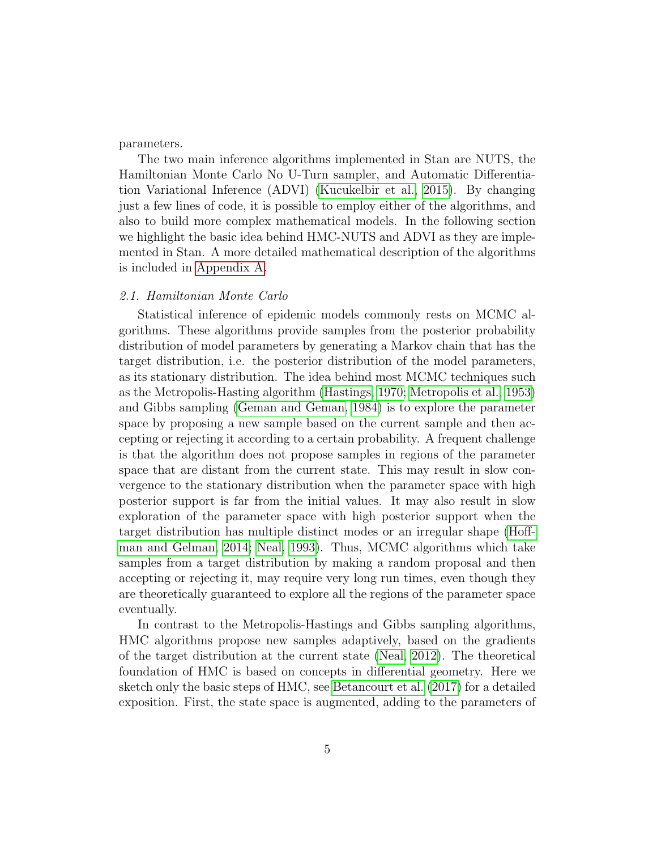parameters.

The two main inference algorithms implemented in Stan are NUTS, the Hamiltonian Monte Carlo No U-Turn sampler, and Automatic Differentiation Variational Inference (ADVI) [\(Kucukelbir et al., 2015\)](#page-36-5). By changing just a few lines of code, it is possible to employ either of the algorithms, and also to build more complex mathematical models. In the following section we highlight the basic idea behind HMC-NUTS and ADVI as they are implemented in Stan. A more detailed mathematical description of the algorithms is included in [Appendix A.](#page-22-0)

## 2.1. Hamiltonian Monte Carlo

Statistical inference of epidemic models commonly rests on MCMC algorithms. These algorithms provide samples from the posterior probability distribution of model parameters by generating a Markov chain that has the target distribution, i.e. the posterior distribution of the model parameters, as its stationary distribution. The idea behind most MCMC techniques such as the Metropolis-Hasting algorithm [\(Hastings, 1970;](#page-36-6) [Metropolis et al., 1953\)](#page-37-6) and Gibbs sampling [\(Geman and Geman, 1984\)](#page-36-7) is to explore the parameter space by proposing a new sample based on the current sample and then accepting or rejecting it according to a certain probability. A frequent challenge is that the algorithm does not propose samples in regions of the parameter space that are distant from the current state. This may result in slow convergence to the stationary distribution when the parameter space with high posterior support is far from the initial values. It may also result in slow exploration of the parameter space with high posterior support when the target distribution has multiple distinct modes or an irregular shape [\(Hoff](#page-36-2)[man and Gelman, 2014;](#page-36-2) [Neal, 1993\)](#page-37-7). Thus, MCMC algorithms which take samples from a target distribution by making a random proposal and then accepting or rejecting it, may require very long run times, even though they are theoretically guaranteed to explore all the regions of the parameter space eventually.

In contrast to the Metropolis-Hastings and Gibbs sampling algorithms, HMC algorithms propose new samples adaptively, based on the gradients of the target distribution at the current state [\(Neal, 2012\)](#page-37-4). The theoretical foundation of HMC is based on concepts in differential geometry. Here we sketch only the basic steps of HMC, see [Betancourt et al. \(2017\)](#page-34-3) for a detailed exposition. First, the state space is augmented, adding to the parameters of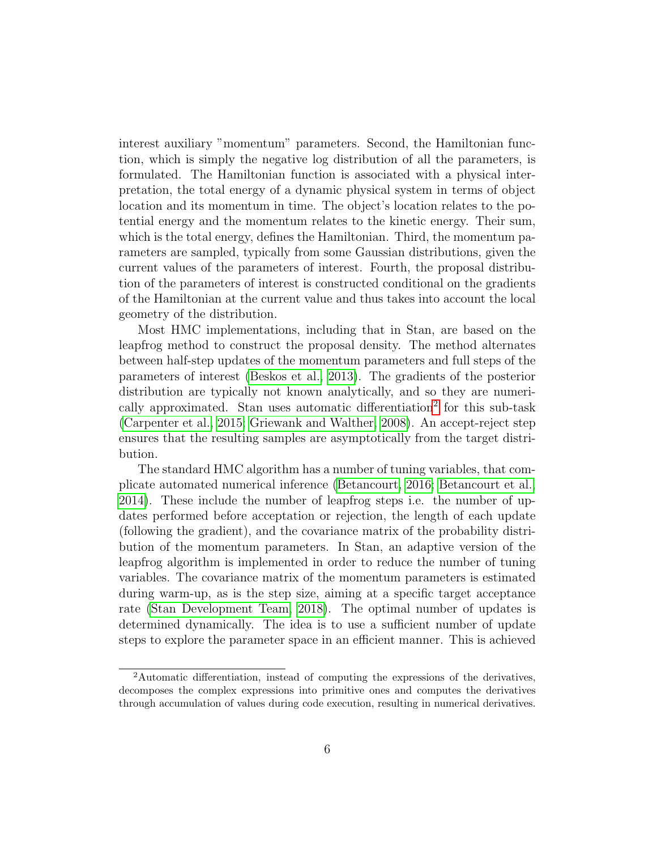interest auxiliary "momentum" parameters. Second, the Hamiltonian function, which is simply the negative log distribution of all the parameters, is formulated. The Hamiltonian function is associated with a physical interpretation, the total energy of a dynamic physical system in terms of object location and its momentum in time. The object's location relates to the potential energy and the momentum relates to the kinetic energy. Their sum, which is the total energy, defines the Hamiltonian. Third, the momentum parameters are sampled, typically from some Gaussian distributions, given the current values of the parameters of interest. Fourth, the proposal distribution of the parameters of interest is constructed conditional on the gradients of the Hamiltonian at the current value and thus takes into account the local geometry of the distribution.

Most HMC implementations, including that in Stan, are based on the leapfrog method to construct the proposal density. The method alternates between half-step updates of the momentum parameters and full steps of the parameters of interest [\(Beskos et al., 2013\)](#page-34-4). The gradients of the posterior distribution are typically not known analytically, and so they are numeri-cally approximated. Stan uses automatic differentiation<sup>[2](#page-5-0)</sup> for this sub-task [\(Carpenter et al., 2015;](#page-35-3) [Griewank and Walther, 2008\)](#page-36-3). An accept-reject step ensures that the resulting samples are asymptotically from the target distribution.

The standard HMC algorithm has a number of tuning variables, that complicate automated numerical inference [\(Betancourt, 2016;](#page-34-5) [Betancourt et al.,](#page-34-6) [2014\)](#page-34-6). These include the number of leapfrog steps i.e. the number of updates performed before acceptation or rejection, the length of each update (following the gradient), and the covariance matrix of the probability distribution of the momentum parameters. In Stan, an adaptive version of the leapfrog algorithm is implemented in order to reduce the number of tuning variables. The covariance matrix of the momentum parameters is estimated during warm-up, as is the step size, aiming at a specific target acceptance rate [\(Stan Development Team, 2018\)](#page-38-0). The optimal number of updates is determined dynamically. The idea is to use a sufficient number of update steps to explore the parameter space in an efficient manner. This is achieved

<span id="page-5-0"></span><sup>2</sup>Automatic differentiation, instead of computing the expressions of the derivatives, decomposes the complex expressions into primitive ones and computes the derivatives through accumulation of values during code execution, resulting in numerical derivatives.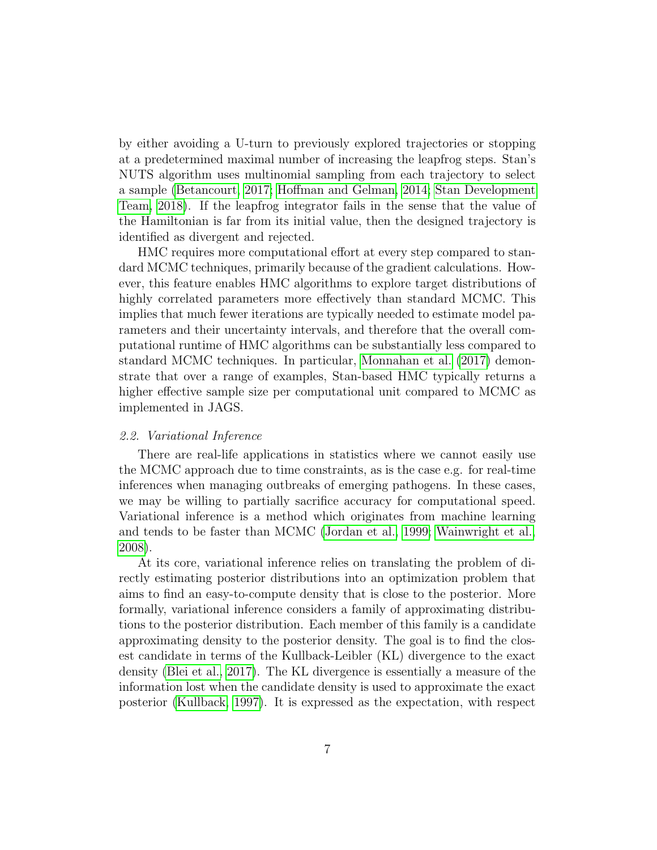by either avoiding a U-turn to previously explored trajectories or stopping at a predetermined maximal number of increasing the leapfrog steps. Stan's NUTS algorithm uses multinomial sampling from each trajectory to select a sample [\(Betancourt, 2017;](#page-34-1) [Hoffman and Gelman, 2014;](#page-36-2) [Stan Development](#page-38-0) [Team, 2018\)](#page-38-0). If the leapfrog integrator fails in the sense that the value of the Hamiltonian is far from its initial value, then the designed trajectory is identified as divergent and rejected.

HMC requires more computational effort at every step compared to standard MCMC techniques, primarily because of the gradient calculations. However, this feature enables HMC algorithms to explore target distributions of highly correlated parameters more effectively than standard MCMC. This implies that much fewer iterations are typically needed to estimate model parameters and their uncertainty intervals, and therefore that the overall computational runtime of HMC algorithms can be substantially less compared to standard MCMC techniques. In particular, [Monnahan et al. \(2017\)](#page-37-8) demonstrate that over a range of examples, Stan-based HMC typically returns a higher effective sample size per computational unit compared to MCMC as implemented in JAGS.

#### 2.2. Variational Inference

There are real-life applications in statistics where we cannot easily use the MCMC approach due to time constraints, as is the case e.g. for real-time inferences when managing outbreaks of emerging pathogens. In these cases, we may be willing to partially sacrifice accuracy for computational speed. Variational inference is a method which originates from machine learning and tends to be faster than MCMC [\(Jordan et al., 1999;](#page-36-8) [Wainwright et al.,](#page-38-1) [2008\)](#page-38-1).

At its core, variational inference relies on translating the problem of directly estimating posterior distributions into an optimization problem that aims to find an easy-to-compute density that is close to the posterior. More formally, variational inference considers a family of approximating distributions to the posterior distribution. Each member of this family is a candidate approximating density to the posterior density. The goal is to find the closest candidate in terms of the Kullback-Leibler (KL) divergence to the exact density [\(Blei et al., 2017\)](#page-34-2). The KL divergence is essentially a measure of the information lost when the candidate density is used to approximate the exact posterior [\(Kullback, 1997\)](#page-37-9). It is expressed as the expectation, with respect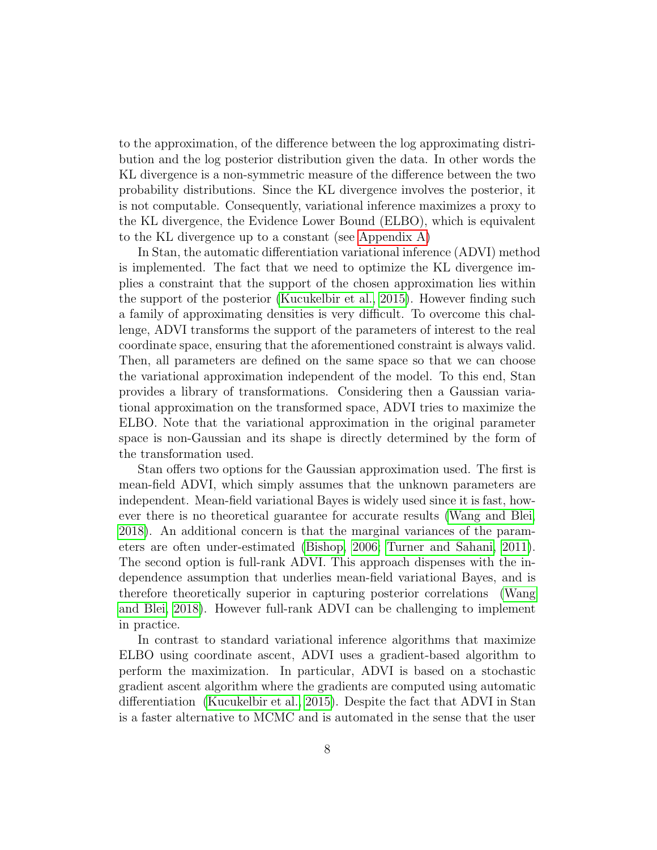to the approximation, of the difference between the log approximating distribution and the log posterior distribution given the data. In other words the KL divergence is a non-symmetric measure of the difference between the two probability distributions. Since the KL divergence involves the posterior, it is not computable. Consequently, variational inference maximizes a proxy to the KL divergence, the Evidence Lower Bound (ELBO), which is equivalent to the KL divergence up to a constant (see [Appendix A\)](#page-22-0)

In Stan, the automatic differentiation variational inference (ADVI) method is implemented. The fact that we need to optimize the KL divergence implies a constraint that the support of the chosen approximation lies within the support of the posterior [\(Kucukelbir et al., 2015\)](#page-36-5). However finding such a family of approximating densities is very difficult. To overcome this challenge, ADVI transforms the support of the parameters of interest to the real coordinate space, ensuring that the aforementioned constraint is always valid. Then, all parameters are defined on the same space so that we can choose the variational approximation independent of the model. To this end, Stan provides a library of transformations. Considering then a Gaussian variational approximation on the transformed space, ADVI tries to maximize the ELBO. Note that the variational approximation in the original parameter space is non-Gaussian and its shape is directly determined by the form of the transformation used.

Stan offers two options for the Gaussian approximation used. The first is mean-field ADVI, which simply assumes that the unknown parameters are independent. Mean-field variational Bayes is widely used since it is fast, however there is no theoretical guarantee for accurate results [\(Wang and Blei,](#page-38-2) [2018\)](#page-38-2). An additional concern is that the marginal variances of the parameters are often under-estimated [\(Bishop, 2006;](#page-34-7) [Turner and Sahani, 2011\)](#page-38-3). The second option is full-rank ADVI. This approach dispenses with the independence assumption that underlies mean-field variational Bayes, and is therefore theoretically superior in capturing posterior correlations [\(Wang](#page-38-2) [and Blei, 2018\)](#page-38-2). However full-rank ADVI can be challenging to implement in practice.

In contrast to standard variational inference algorithms that maximize ELBO using coordinate ascent, ADVI uses a gradient-based algorithm to perform the maximization. In particular, ADVI is based on a stochastic gradient ascent algorithm where the gradients are computed using automatic differentiation [\(Kucukelbir et al., 2015\)](#page-36-5). Despite the fact that ADVI in Stan is a faster alternative to MCMC and is automated in the sense that the user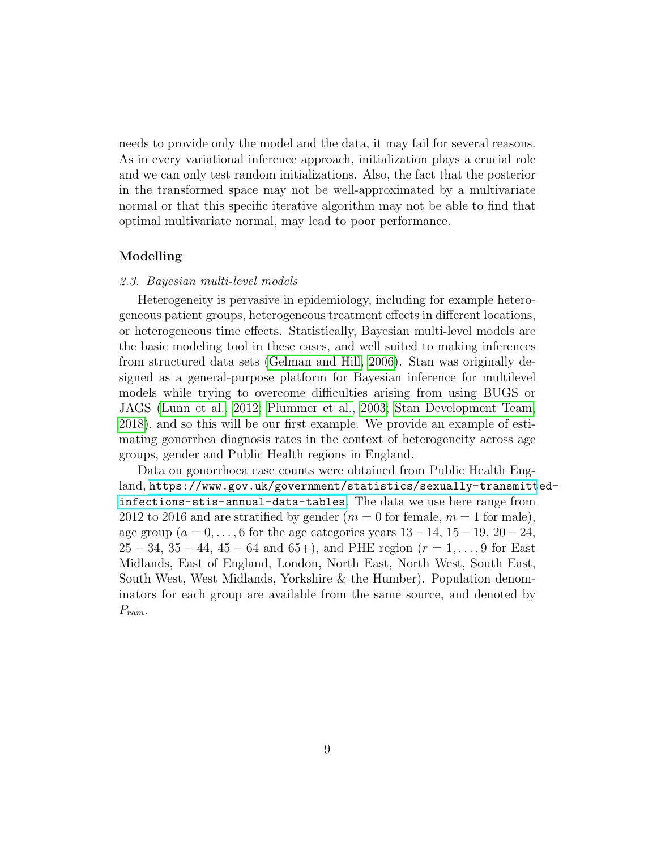needs to provide only the model and the data, it may fail for several reasons. As in every variational inference approach, initialization plays a crucial role and we can only test random initializations. Also, the fact that the posterior in the transformed space may not be well-approximated by a multivariate normal or that this specific iterative algorithm may not be able to find that optimal multivariate normal, may lead to poor performance.

#### Modelling

#### 2.3. Bayesian multi-level models

Heterogeneity is pervasive in epidemiology, including for example heterogeneous patient groups, heterogeneous treatment effects in different locations, or heterogeneous time effects. Statistically, Bayesian multi-level models are the basic modeling tool in these cases, and well suited to making inferences from structured data sets [\(Gelman and Hill, 2006\)](#page-35-4). Stan was originally designed as a general-purpose platform for Bayesian inference for multilevel models while trying to overcome difficulties arising from using BUGS or JAGS [\(Lunn et al., 2012;](#page-37-10) [Plummer et al., 2003;](#page-38-4) [Stan Development Team,](#page-38-0) [2018\)](#page-38-0), and so this will be our first example. We provide an example of estimating gonorrhea diagnosis rates in the context of heterogeneity across age groups, gender and Public Health regions in England.

Data on gonorrhoea case counts were obtained from Public Health England, [https://www.gov.uk/government/statistics/sexually-transmitt](https://www.gov.uk/government/statistics/sexually-transmitted-infections-stis-annual-data-tables)ed[infections-stis-annual-data-tables](https://www.gov.uk/government/statistics/sexually-transmitted-infections-stis-annual-data-tables). The data we use here range from 2012 to 2016 and are stratified by gender  $(m = 0 \text{ for female}, m = 1 \text{ for male}),$ age group ( $a = 0, \ldots, 6$  for the age categories years  $13 - 14$ ,  $15 - 19$ ,  $20 - 24$ ,  $25 - 34$ ,  $35 - 44$ ,  $45 - 64$  and  $65+$ ), and PHE region  $(r = 1, \ldots, 9)$  for East Midlands, East of England, London, North East, North West, South East, South West, West Midlands, Yorkshire & the Humber). Population denominators for each group are available from the same source, and denoted by Pram.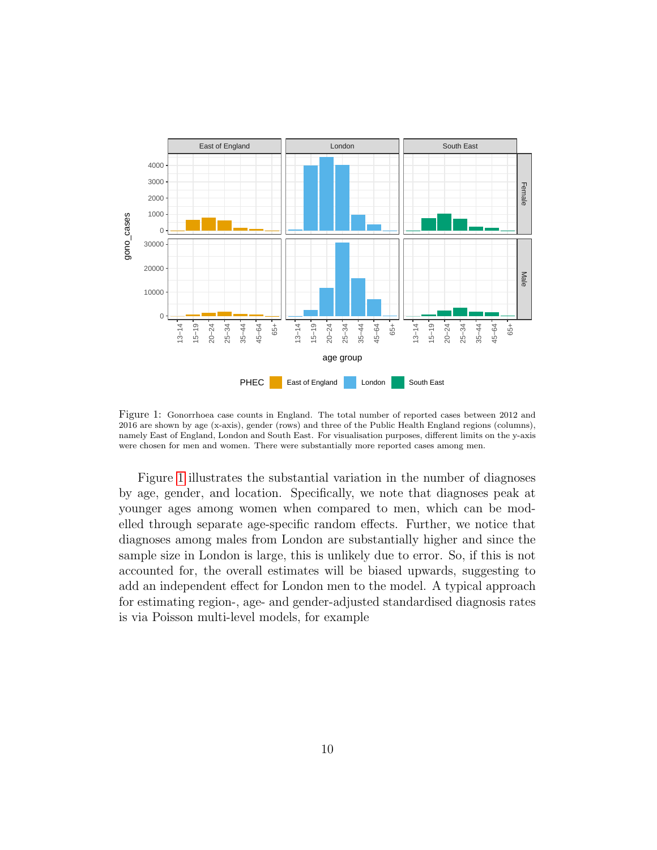<span id="page-9-0"></span>

Figure 1: Gonorrhoea case counts in England. The total number of reported cases between 2012 and 2016 are shown by age (x-axis), gender (rows) and three of the Public Health England regions (columns), namely East of England, London and South East. For visualisation purposes, different limits on the y-axis were chosen for men and women. There were substantially more reported cases among men.

Figure [1](#page-9-0) illustrates the substantial variation in the number of diagnoses by age, gender, and location. Specifically, we note that diagnoses peak at younger ages among women when compared to men, which can be modelled through separate age-specific random effects. Further, we notice that diagnoses among males from London are substantially higher and since the sample size in London is large, this is unlikely due to error. So, if this is not accounted for, the overall estimates will be biased upwards, suggesting to add an independent effect for London men to the model. A typical approach for estimating region-, age- and gender-adjusted standardised diagnosis rates is via Poisson multi-level models, for example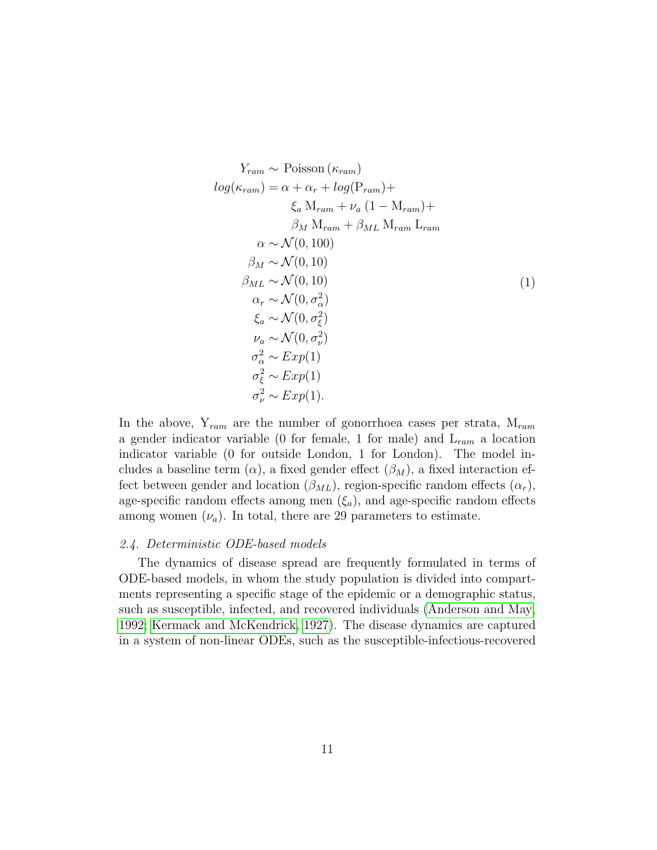<span id="page-10-0"></span>
$$
Y_{ram} \sim \text{Poisson} (\kappa_{ram})
$$
  
\n
$$
log(\kappa_{ram}) = \alpha + \alpha_r + log(\mathbf{P}_{ram}) +
$$
  
\n
$$
\xi_a \mathbf{M}_{ram} + \nu_a (1 - \mathbf{M}_{ram}) +
$$
  
\n
$$
\beta_M \mathbf{M}_{ram} + \beta_{ML} \mathbf{M}_{ram} \mathbf{L}_{ram}
$$
  
\n
$$
\alpha \sim \mathcal{N}(0, 100)
$$
  
\n
$$
\beta_{ML} \sim \mathcal{N}(0, 10)
$$
  
\n
$$
\beta_{ML} \sim \mathcal{N}(0, 0)
$$
  
\n
$$
\xi_a \sim \mathcal{N}(0, \sigma_\xi^2)
$$
  
\n
$$
\xi_a \sim \mathcal{N}(0, \sigma_\nu^2)
$$
  
\n
$$
\sigma_\alpha^2 \sim \text{Exp}(1)
$$
  
\n
$$
\sigma_\xi^2 \sim \text{Exp}(1)
$$
  
\n
$$
\sigma_\nu^2 \sim \text{Exp}(1).
$$
  
\n(1)

In the above,  $Y_{ram}$  are the number of gonorrhoea cases per strata,  $M_{ram}$ a gender indicator variable (0 for female, 1 for male) and  $L_{ram}$  a location indicator variable (0 for outside London, 1 for London). The model includes a baseline term  $(\alpha)$ , a fixed gender effect  $(\beta_M)$ , a fixed interaction effect between gender and location  $(\beta_{ML})$ , region-specific random effects  $(\alpha_r)$ , age-specific random effects among men  $(\xi_a)$ , and age-specific random effects among women  $(\nu_a)$ . In total, there are 29 parameters to estimate.

# 2.4. Deterministic ODE-based models

The dynamics of disease spread are frequently formulated in terms of ODE-based models, in whom the study population is divided into compartments representing a specific stage of the epidemic or a demographic status, such as susceptible, infected, and recovered individuals [\(Anderson and May,](#page-34-8) [1992;](#page-34-8) [Kermack and McKendrick, 1927\)](#page-36-9). The disease dynamics are captured in a system of non-linear ODEs, such as the susceptible-infectious-recovered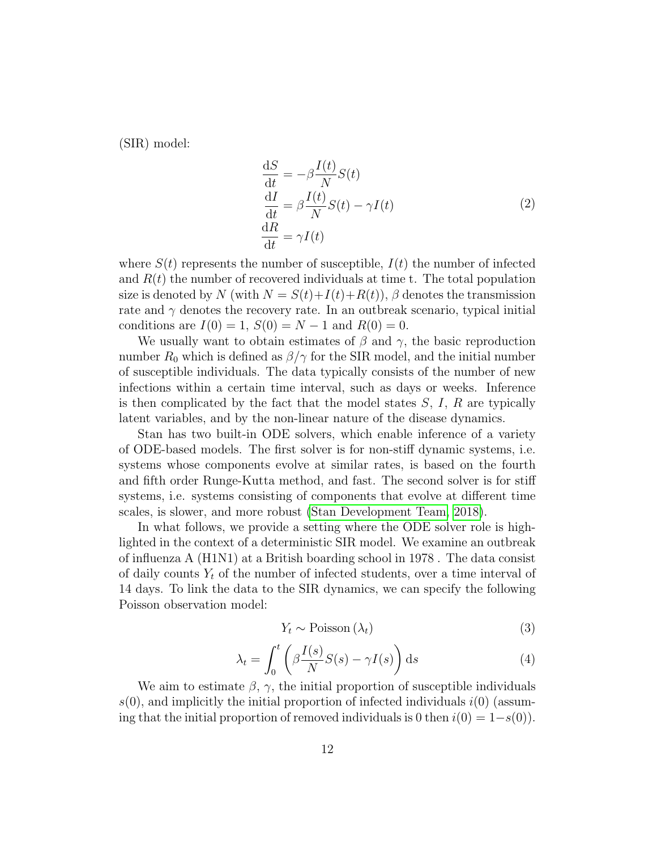(SIR) model:

$$
\frac{dS}{dt} = -\beta \frac{I(t)}{N} S(t)
$$
  
\n
$$
\frac{dI}{dt} = \beta \frac{I(t)}{N} S(t) - \gamma I(t)
$$
  
\n
$$
\frac{dR}{dt} = \gamma I(t)
$$
\n(2)

where  $S(t)$  represents the number of susceptible,  $I(t)$  the number of infected and  $R(t)$  the number of recovered individuals at time t. The total population size is denoted by N (with  $N = S(t)+I(t)+R(t)$ ),  $\beta$  denotes the transmission rate and  $\gamma$  denotes the recovery rate. In an outbreak scenario, typical initial conditions are  $I(0) = 1, S(0) = N - 1$  and  $R(0) = 0$ .

We usually want to obtain estimates of  $\beta$  and  $\gamma$ , the basic reproduction number  $R_0$  which is defined as  $\beta/\gamma$  for the SIR model, and the initial number of susceptible individuals. The data typically consists of the number of new infections within a certain time interval, such as days or weeks. Inference is then complicated by the fact that the model states  $S, I, R$  are typically latent variables, and by the non-linear nature of the disease dynamics.

Stan has two built-in ODE solvers, which enable inference of a variety of ODE-based models. The first solver is for non-stiff dynamic systems, i.e. systems whose components evolve at similar rates, is based on the fourth and fifth order Runge-Kutta method, and fast. The second solver is for stiff systems, i.e. systems consisting of components that evolve at different time scales, is slower, and more robust [\(Stan Development Team, 2018\)](#page-38-0).

In what follows, we provide a setting where the ODE solver role is highlighted in the context of a deterministic SIR model. We examine an outbreak of influenza A (H1N1) at a British boarding school in 1978 . The data consist of daily counts  $Y_t$  of the number of infected students, over a time interval of 14 days. To link the data to the SIR dynamics, we can specify the following Poisson observation model:

<span id="page-11-0"></span>
$$
Y_t \sim \text{Poisson} \left( \lambda_t \right) \tag{3}
$$

<span id="page-11-1"></span>
$$
\lambda_t = \int_0^t \left( \beta \frac{I(s)}{N} S(s) - \gamma I(s) \right) ds \tag{4}
$$

We aim to estimate  $\beta$ ,  $\gamma$ , the initial proportion of susceptible individuals  $s(0)$ , and implicitly the initial proportion of infected individuals  $i(0)$  (assuming that the initial proportion of removed individuals is 0 then  $i(0) = 1-s(0)$ .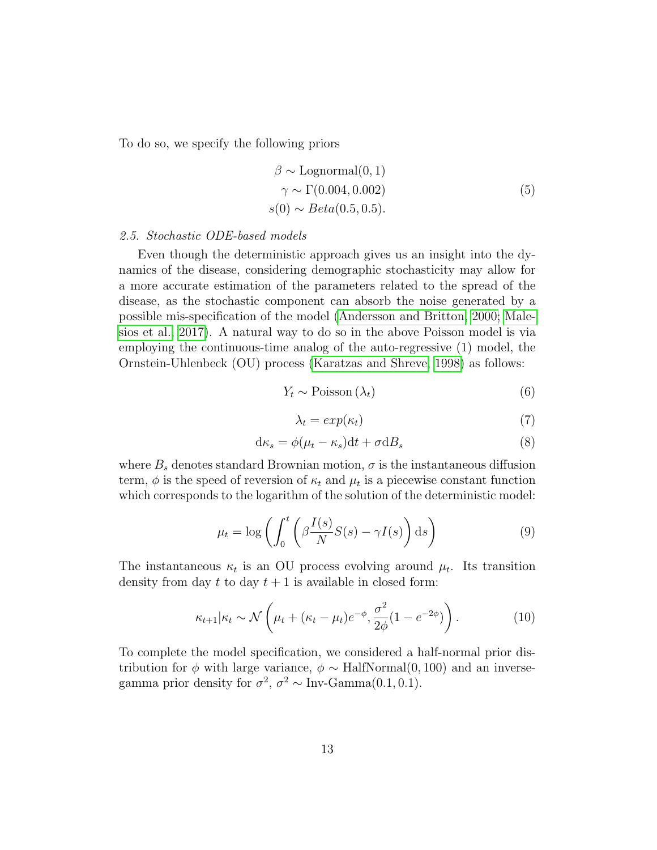To do so, we specify the following priors

$$
\beta \sim \text{Lognormal}(0, 1) \n\gamma \sim \Gamma(0.004, 0.002) \ns(0) \sim Beta(0.5, 0.5).
$$
\n(5)

# 2.5. Stochastic ODE-based models

Even though the deterministic approach gives us an insight into the dynamics of the disease, considering demographic stochasticity may allow for a more accurate estimation of the parameters related to the spread of the disease, as the stochastic component can absorb the noise generated by a possible mis-specification of the model [\(Andersson and Britton, 2000;](#page-34-9) [Male](#page-37-11)[sios et al., 2017\)](#page-37-11). A natural way to do so in the above Poisson model is via employing the continuous-time analog of the auto-regressive (1) model, the Ornstein-Uhlenbeck (OU) process [\(Karatzas and Shreve, 1998\)](#page-36-10) as follows:

$$
Y_t \sim \text{Poisson} \left( \lambda_t \right) \tag{6}
$$

$$
\lambda_t = \exp(\kappa_t) \tag{7}
$$

$$
d\kappa_s = \phi(\mu_t - \kappa_s)dt + \sigma dB_s \tag{8}
$$

where  $B_s$  denotes standard Brownian motion,  $\sigma$  is the instantaneous diffusion term,  $\phi$  is the speed of reversion of  $\kappa_t$  and  $\mu_t$  is a piecewise constant function which corresponds to the logarithm of the solution of the deterministic model:

$$
\mu_t = \log \left( \int_0^t \left( \beta \frac{I(s)}{N} S(s) - \gamma I(s) \right) ds \right) \tag{9}
$$

The instantaneous  $\kappa_t$  is an OU process evolving around  $\mu_t$ . Its transition density from day t to day  $t + 1$  is available in closed form:

$$
\kappa_{t+1}|\kappa_t \sim \mathcal{N}\left(\mu_t + (\kappa_t - \mu_t)e^{-\phi}, \frac{\sigma^2}{2\phi}(1 - e^{-2\phi})\right). \tag{10}
$$

To complete the model specification, we considered a half-normal prior distribution for  $\phi$  with large variance,  $\phi \sim \text{HalfNormal}(0, 100)$  and an inversegamma prior density for  $\sigma^2$ ,  $\sigma^2 \sim \text{Inv-Gamma}(0.1, 0.1)$ .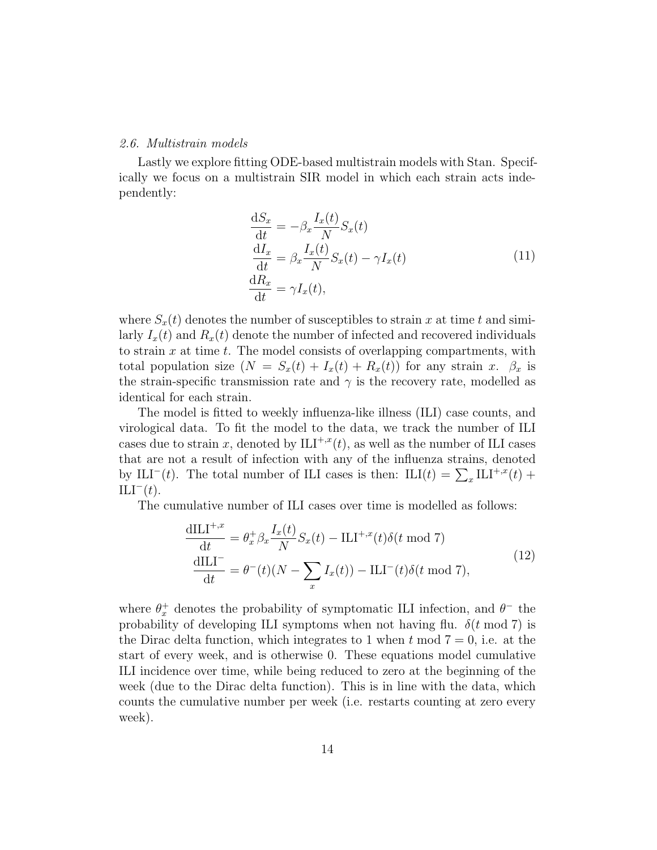#### 2.6. Multistrain models

Lastly we explore fitting ODE-based multistrain models with Stan. Specifically we focus on a multistrain SIR model in which each strain acts independently:

$$
\frac{dS_x}{dt} = -\beta_x \frac{I_x(t)}{N} S_x(t)
$$
\n
$$
\frac{dI_x}{dt} = \beta_x \frac{I_x(t)}{N} S_x(t) - \gamma I_x(t)
$$
\n
$$
\frac{dR_x}{dt} = \gamma I_x(t),
$$
\n(11)

where  $S_x(t)$  denotes the number of susceptibles to strain x at time t and similarly  $I_x(t)$  and  $R_x(t)$  denote the number of infected and recovered individuals to strain  $x$  at time  $t$ . The model consists of overlapping compartments, with total population size  $(N = S_x(t) + I_x(t) + R_x(t))$  for any strain x.  $\beta_x$  is the strain-specific transmission rate and  $\gamma$  is the recovery rate, modelled as identical for each strain.

The model is fitted to weekly influenza-like illness (ILI) case counts, and virological data. To fit the model to the data, we track the number of ILI cases due to strain x, denoted by  $\text{ILI}^{+,x}(t)$ , as well as the number of ILI cases that are not a result of infection with any of the influenza strains, denoted by ILI<sup>-</sup>(t). The total number of ILI cases is then: ILI(t) =  $\sum_x \text{ILI}^{+,x}(t)$  +  $\text{III}^-(t)$ .

The cumulative number of ILI cases over time is modelled as follows:

$$
\frac{\text{d}\text{ILI}^{+,x}}{\text{d}t} = \theta_x^+ \beta_x \frac{I_x(t)}{N} S_x(t) - \text{ILI}^{+,x}(t) \delta(t \mod 7)
$$
\n
$$
\frac{\text{d}\text{ILI}^-}{\text{d}t} = \theta^-(t)(N - \sum_x I_x(t)) - \text{ILI}^-(t)\delta(t \mod 7),\tag{12}
$$

where  $\theta_x^+$  denotes the probability of symptomatic ILI infection, and  $\theta^-$  the probability of developing ILI symptoms when not having flu.  $\delta(t \mod 7)$  is the Dirac delta function, which integrates to 1 when  $t \mod 7 = 0$ , i.e. at the start of every week, and is otherwise 0. These equations model cumulative ILI incidence over time, while being reduced to zero at the beginning of the week (due to the Dirac delta function). This is in line with the data, which counts the cumulative number per week (i.e. restarts counting at zero every week).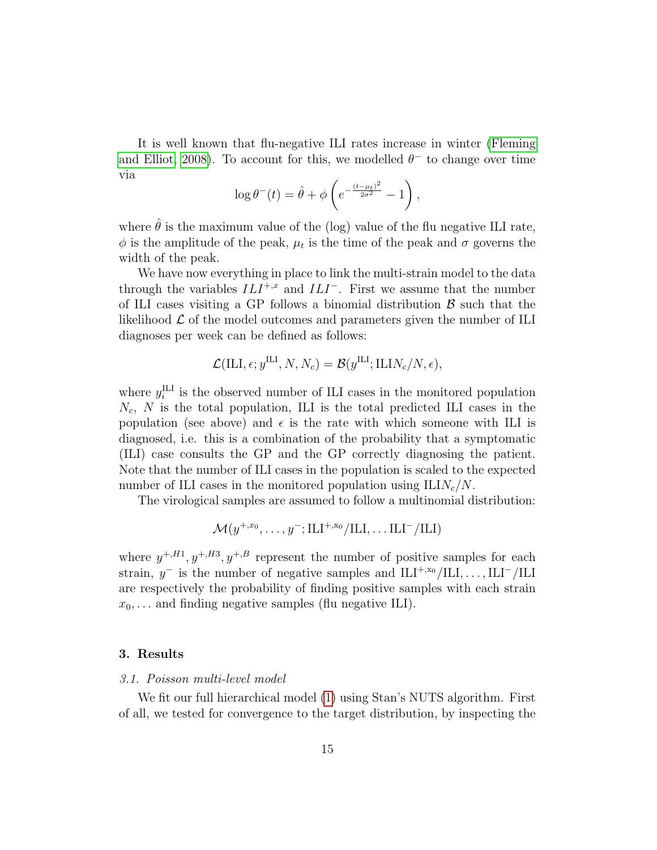It is well known that flu-negative ILI rates increase in winter [\(Fleming](#page-35-5) [and Elliot, 2008\)](#page-35-5). To account for this, we modelled  $\theta^-$  to change over time via

$$
\log \theta^{-}(t) = \hat{\theta} + \phi \left( e^{-\frac{(t-\mu_t)^2}{2\sigma^2}} - 1 \right),
$$

where  $\hat{\theta}$  is the maximum value of the (log) value of the flu negative ILI rate,  $\phi$  is the amplitude of the peak,  $\mu_t$  is the time of the peak and  $\sigma$  governs the width of the peak.

We have now everything in place to link the multi-strain model to the data through the variables  $ILI^{+,x}$  and  $ILI^-$ . First we assume that the number of ILI cases visiting a GP follows a binomial distribution  $\beta$  such that the likelihood  $\mathcal L$  of the model outcomes and parameters given the number of ILI diagnoses per week can be defined as follows:

$$
\mathcal{L}(\operatorname{ILLI}, \epsilon; y^{\operatorname{ILL}}, N, N_c) = \mathcal{B}(y^{\operatorname{LL}}; \operatorname{ILIN}_c/N, \epsilon),
$$

where  $y_i^{\text{ILI}}$  is the observed number of ILI cases in the monitored population  $N_c$ , N is the total population, ILI is the total predicted ILI cases in the population (see above) and  $\epsilon$  is the rate with which someone with ILI is diagnosed, i.e. this is a combination of the probability that a symptomatic (ILI) case consults the GP and the GP correctly diagnosing the patient. Note that the number of ILI cases in the population is scaled to the expected number of ILI cases in the monitored population using  $ILIN<sub>c</sub>/N$ .

The virological samples are assumed to follow a multinomial distribution:

$$
\mathcal{M}(y^{+,x_0},\ldots,y^-;\mathrm{ILI}^{+,x_0}/\mathrm{ILI},\ldots\mathrm{ILI}^-/\mathrm{ILI})
$$

where  $y^{+,H_1}, y^{+,H_3}, y^{+,B}$  represent the number of positive samples for each strain,  $y^-$  is the number of negative samples and  $ILI^{+,x_0}/ILI, \ldots, ILI^-/ILI$ are respectively the probability of finding positive samples with each strain  $x_0, \ldots$  and finding negative samples (flu negative ILI).

## 3. Results

## 3.1. Poisson multi-level model

We fit our full hierarchical model [\(1\)](#page-10-0) using Stan's NUTS algorithm. First of all, we tested for convergence to the target distribution, by inspecting the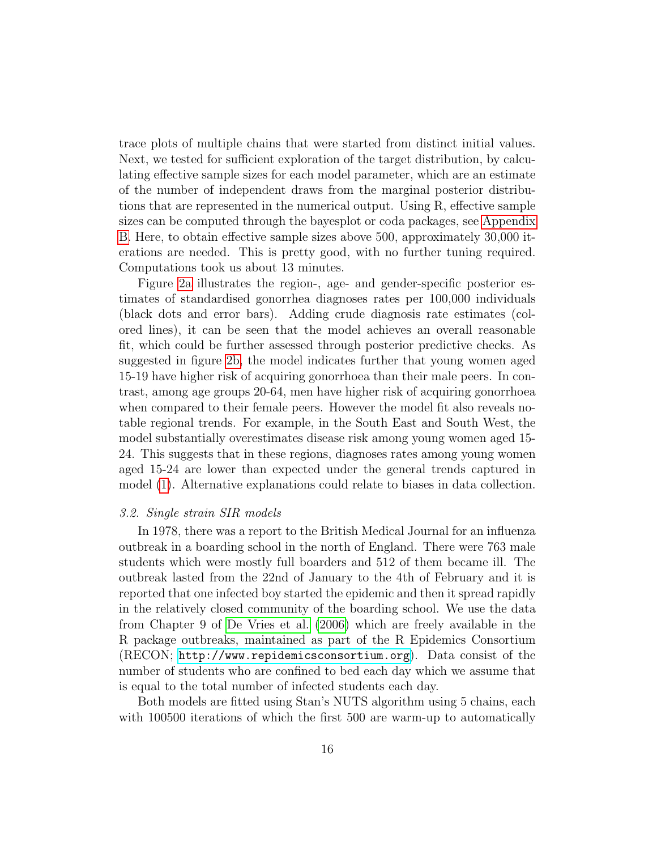trace plots of multiple chains that were started from distinct initial values. Next, we tested for sufficient exploration of the target distribution, by calculating effective sample sizes for each model parameter, which are an estimate of the number of independent draws from the marginal posterior distributions that are represented in the numerical output. Using R, effective sample sizes can be computed through the bayesplot or coda packages, see [Appendix](#page-26-0) [B.](#page-26-0) Here, to obtain effective sample sizes above 500, approximately 30,000 iterations are needed. This is pretty good, with no further tuning required. Computations took us about 13 minutes.

Figure [2a](#page-16-0) illustrates the region-, age- and gender-specific posterior estimates of standardised gonorrhea diagnoses rates per 100,000 individuals (black dots and error bars). Adding crude diagnosis rate estimates (colored lines), it can be seen that the model achieves an overall reasonable fit, which could be further assessed through posterior predictive checks. As suggested in figure [2b,](#page-16-0) the model indicates further that young women aged 15-19 have higher risk of acquiring gonorrhoea than their male peers. In contrast, among age groups 20-64, men have higher risk of acquiring gonorrhoea when compared to their female peers. However the model fit also reveals notable regional trends. For example, in the South East and South West, the model substantially overestimates disease risk among young women aged 15- 24. This suggests that in these regions, diagnoses rates among young women aged 15-24 are lower than expected under the general trends captured in model [\(1\)](#page-10-0). Alternative explanations could relate to biases in data collection.

#### 3.2. Single strain SIR models

In 1978, there was a report to the British Medical Journal for an influenza outbreak in a boarding school in the north of England. There were 763 male students which were mostly full boarders and 512 of them became ill. The outbreak lasted from the 22nd of January to the 4th of February and it is reported that one infected boy started the epidemic and then it spread rapidly in the relatively closed community of the boarding school. We use the data from Chapter 9 of [De Vries et al. \(2006\)](#page-35-6) which are freely available in the R package outbreaks, maintained as part of the R Epidemics Consortium (RECON; <http://www.repidemicsconsortium.org>). Data consist of the number of students who are confined to bed each day which we assume that is equal to the total number of infected students each day.

Both models are fitted using Stan's NUTS algorithm using 5 chains, each with 100500 iterations of which the first 500 are warm-up to automatically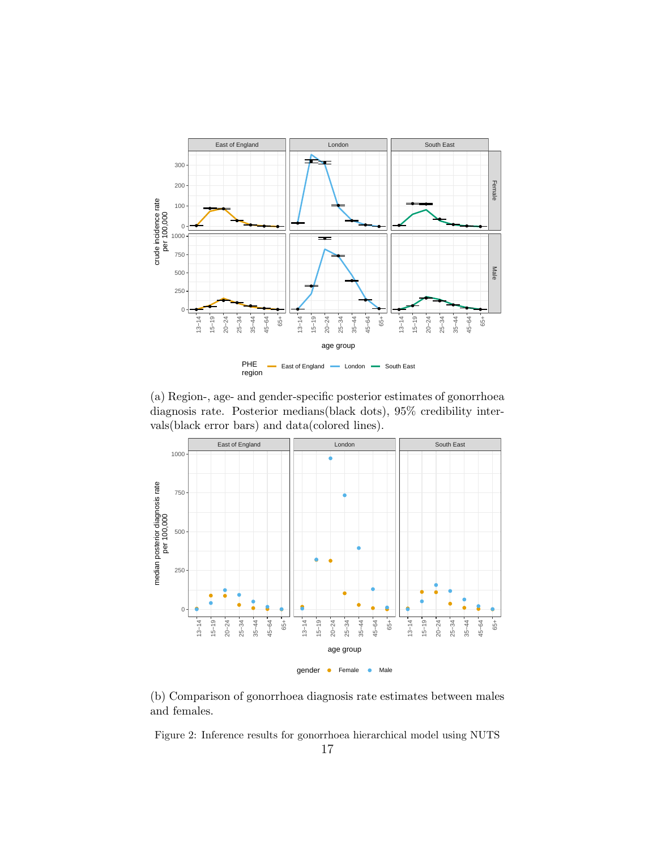<span id="page-16-0"></span>

(a) Region-, age- and gender-specific posterior estimates of gonorrhoea diagnosis rate. Posterior medians(black dots), 95% credibility intervals(black error bars) and data(colored lines).



(b) Comparison of gonorrhoea diagnosis rate estimates between males and females.

Figure 2: Inference results for gonorrhoea hierarchical model using NUTS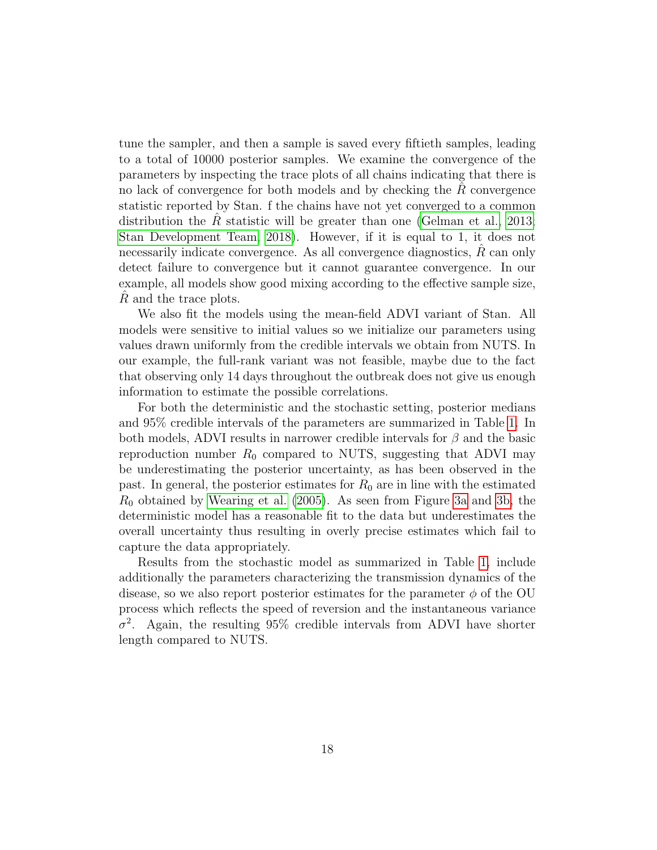tune the sampler, and then a sample is saved every fiftieth samples, leading to a total of 10000 posterior samples. We examine the convergence of the parameters by inspecting the trace plots of all chains indicating that there is no lack of convergence for both models and by checking the  $R$  convergence statistic reported by Stan. f the chains have not yet converged to a common distribution the R statistic will be greater than one [\(Gelman et al., 2013;](#page-35-7) [Stan Development Team, 2018\)](#page-38-0). However, if it is equal to 1, it does not necessarily indicate convergence. As all convergence diagnostics,  $R$  can only detect failure to convergence but it cannot guarantee convergence. In our example, all models show good mixing according to the effective sample size, R and the trace plots.

We also fit the models using the mean-field ADVI variant of Stan. All models were sensitive to initial values so we initialize our parameters using values drawn uniformly from the credible intervals we obtain from NUTS. In our example, the full-rank variant was not feasible, maybe due to the fact that observing only 14 days throughout the outbreak does not give us enough information to estimate the possible correlations.

For both the deterministic and the stochastic setting, posterior medians and 95% credible intervals of the parameters are summarized in Table [1.](#page-18-0) In both models, ADVI results in narrower credible intervals for  $\beta$  and the basic reproduction number  $R_0$  compared to NUTS, suggesting that ADVI may be underestimating the posterior uncertainty, as has been observed in the past. In general, the posterior estimates for  $R_0$  are in line with the estimated  $R_0$  obtained by [Wearing et al. \(2005\)](#page-38-5). As seen from Figure [3a](#page-19-0) and [3b,](#page-19-0) the deterministic model has a reasonable fit to the data but underestimates the overall uncertainty thus resulting in overly precise estimates which fail to capture the data appropriately.

Results from the stochastic model as summarized in Table [1,](#page-18-0) include additionally the parameters characterizing the transmission dynamics of the disease, so we also report posterior estimates for the parameter  $\phi$  of the OU process which reflects the speed of reversion and the instantaneous variance  $\sigma^2$ . Again, the resulting 95% credible intervals from ADVI have shorter length compared to NUTS.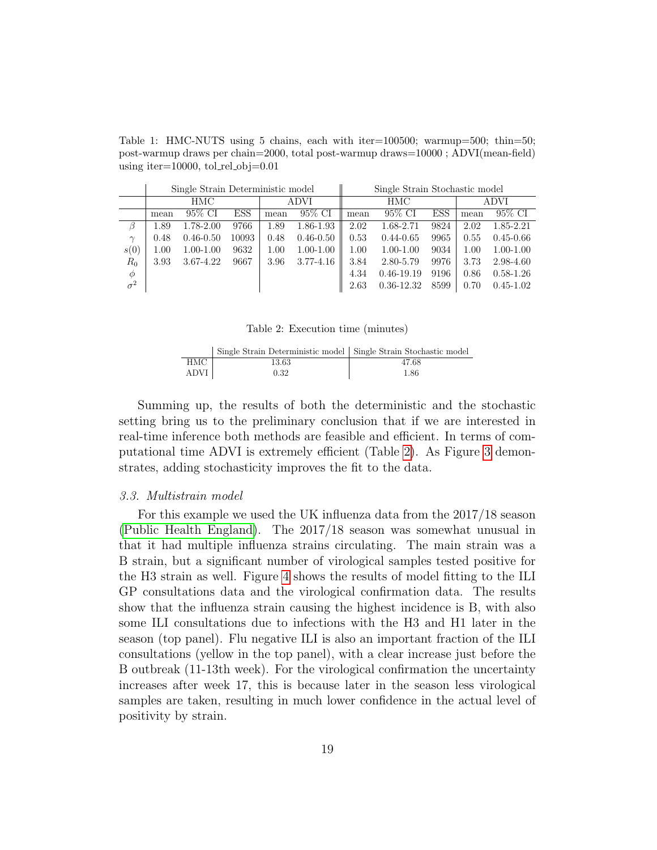<span id="page-18-0"></span>Table 1: HMC-NUTS using 5 chains, each with iter=100500; warmup=500; thin=50; post-warmup draws per chain=2000, total post-warmup draws=10000 ; ADVI(mean-field) using iter=10000, tol\_rel\_obj= $0.01$ 

|            | Single Strain Deterministic model |               |            |      |               | Single Strain Stochastic model |                |      |      |               |  |
|------------|-----------------------------------|---------------|------------|------|---------------|--------------------------------|----------------|------|------|---------------|--|
|            | HMC                               |               |            | ADVI |               |                                | <b>HMC</b>     | ADVI |      |               |  |
|            | mean                              | 95% CI        | <b>ESS</b> | mean | 95% CI        | mean                           | 95% CI         | ESS  | mean | 95% CI        |  |
| β          | 1.89                              | 1.78-2.00     | 9766       | 1.89 | 1.86-1.93     | 2.02                           | 1.68-2.71      | 9824 | 2.02 | 1.85-2.21     |  |
| $\sim$     | 0.48                              | $0.46 - 0.50$ | 10093      | 0.48 | $0.46 - 0.50$ | 0.53                           | $0.44 - 0.65$  | 9965 | 0.55 | $0.45 - 0.66$ |  |
| s(0)       | 1.00                              | $1.00 - 1.00$ | 9632       | 1.00 | $1.00 - 1.00$ | 1.00                           | $1.00 - 1.00$  | 9034 | 1.00 | $1.00 - 1.00$ |  |
| $R_0$      | 3.93                              | 3.67-4.22     | 9667       | 3.96 | 3.77-4.16     | 3.84                           | 2.80-5.79      | 9976 | 3.73 | 2.98-4.60     |  |
| $\phi$     |                                   |               |            |      |               | 4.34                           | $0.46 - 19.19$ | 9196 | 0.86 | $0.58 - 1.26$ |  |
| $\sigma^2$ |                                   |               |            |      |               | 2.63                           | $0.36 - 12.32$ | 8599 | 0.70 | $0.45 - 1.02$ |  |

Table 2: Execution time (minutes)

<span id="page-18-1"></span>

|      | Single Strain Deterministic model   Single Strain Stochastic model |       |
|------|--------------------------------------------------------------------|-------|
| HMC  | 13.63                                                              | 47.68 |
| ADVI | 0.32                                                               | 1.86  |

Summing up, the results of both the deterministic and the stochastic setting bring us to the preliminary conclusion that if we are interested in real-time inference both methods are feasible and efficient. In terms of computational time ADVI is extremely efficient (Table [2\)](#page-18-1). As Figure [3](#page-19-0) demonstrates, adding stochasticity improves the fit to the data.

#### 3.3. Multistrain model

For this example we used the UK influenza data from the 2017/18 season [\(Public Health England\)](#page-38-6). The 2017/18 season was somewhat unusual in that it had multiple influenza strains circulating. The main strain was a B strain, but a significant number of virological samples tested positive for the H3 strain as well. Figure [4](#page-20-0) shows the results of model fitting to the ILI GP consultations data and the virological confirmation data. The results show that the influenza strain causing the highest incidence is B, with also some ILI consultations due to infections with the H3 and H1 later in the season (top panel). Flu negative ILI is also an important fraction of the ILI consultations (yellow in the top panel), with a clear increase just before the B outbreak (11-13th week). For the virological confirmation the uncertainty increases after week 17, this is because later in the season less virological samples are taken, resulting in much lower confidence in the actual level of positivity by strain.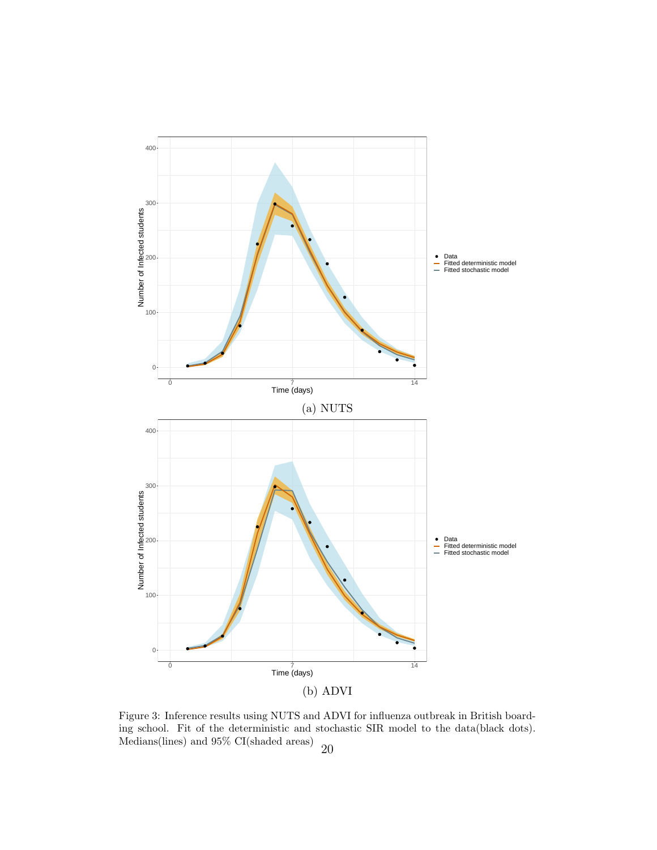<span id="page-19-0"></span>

Figure 3: Inference results using NUTS and ADVI for influenza outbreak in British boarding school. Fit of the deterministic and stochastic SIR model to the data(black dots). Medians(lines) and 95% CI(shaded areas)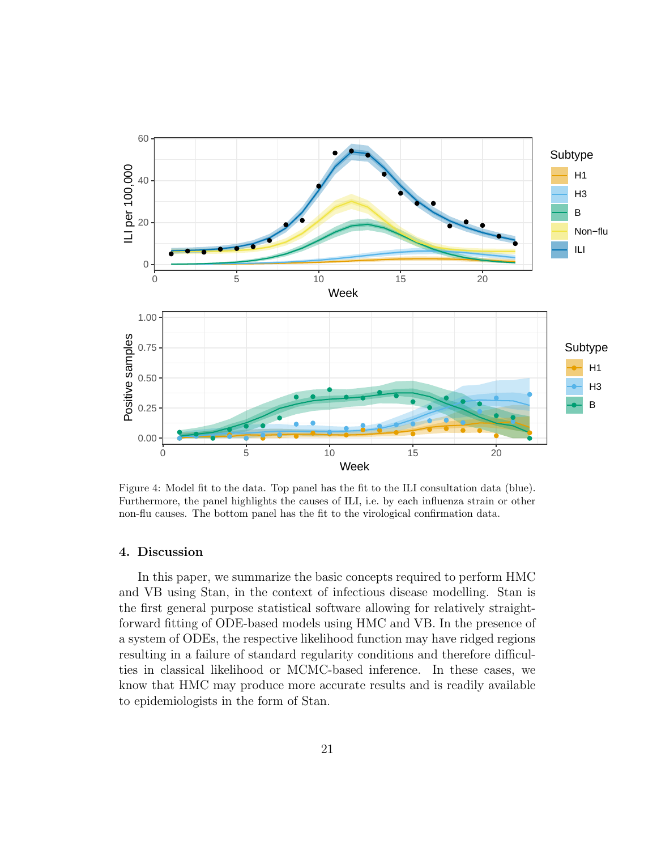<span id="page-20-0"></span>

Figure 4: Model fit to the data. Top panel has the fit to the ILI consultation data (blue). Furthermore, the panel highlights the causes of ILI, i.e. by each influenza strain or other non-flu causes. The bottom panel has the fit to the virological confirmation data.

# 4. Discussion

In this paper, we summarize the basic concepts required to perform HMC and VB using Stan, in the context of infectious disease modelling. Stan is the first general purpose statistical software allowing for relatively straightforward fitting of ODE-based models using HMC and VB. In the presence of a system of ODEs, the respective likelihood function may have ridged regions resulting in a failure of standard regularity conditions and therefore difficulties in classical likelihood or MCMC-based inference. In these cases, we know that HMC may produce more accurate results and is readily available to epidemiologists in the form of Stan.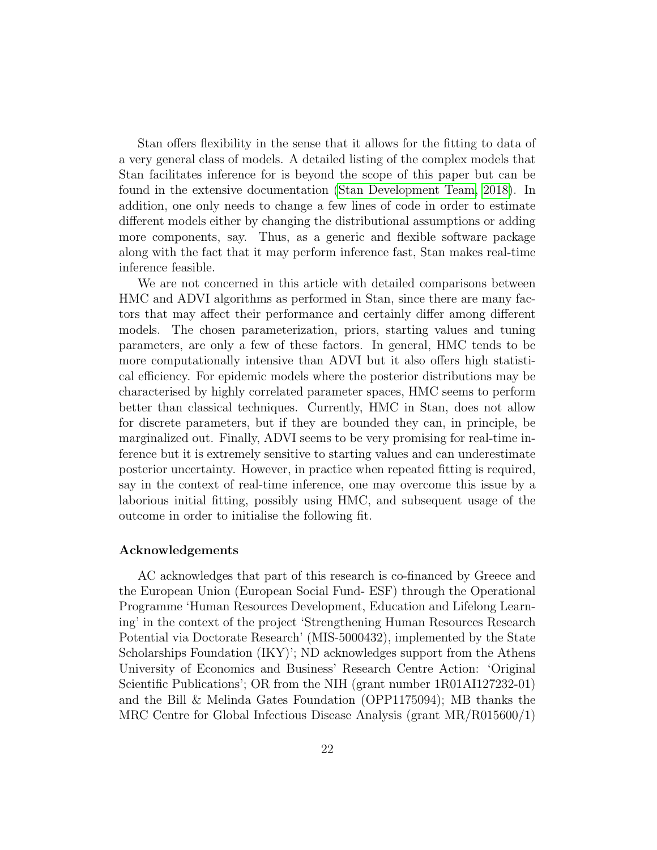Stan offers flexibility in the sense that it allows for the fitting to data of a very general class of models. A detailed listing of the complex models that Stan facilitates inference for is beyond the scope of this paper but can be found in the extensive documentation [\(Stan Development Team, 2018\)](#page-38-0). In addition, one only needs to change a few lines of code in order to estimate different models either by changing the distributional assumptions or adding more components, say. Thus, as a generic and flexible software package along with the fact that it may perform inference fast, Stan makes real-time inference feasible.

We are not concerned in this article with detailed comparisons between HMC and ADVI algorithms as performed in Stan, since there are many factors that may affect their performance and certainly differ among different models. The chosen parameterization, priors, starting values and tuning parameters, are only a few of these factors. In general, HMC tends to be more computationally intensive than ADVI but it also offers high statistical efficiency. For epidemic models where the posterior distributions may be characterised by highly correlated parameter spaces, HMC seems to perform better than classical techniques. Currently, HMC in Stan, does not allow for discrete parameters, but if they are bounded they can, in principle, be marginalized out. Finally, ADVI seems to be very promising for real-time inference but it is extremely sensitive to starting values and can underestimate posterior uncertainty. However, in practice when repeated fitting is required, say in the context of real-time inference, one may overcome this issue by a laborious initial fitting, possibly using HMC, and subsequent usage of the outcome in order to initialise the following fit.

#### Acknowledgements

AC acknowledges that part of this research is co-financed by Greece and the European Union (European Social Fund- ESF) through the Operational Programme 'Human Resources Development, Education and Lifelong Learning' in the context of the project 'Strengthening Human Resources Research Potential via Doctorate Research' (MIS-5000432), implemented by the State Scholarships Foundation (IKY)'; ND acknowledges support from the Athens University of Economics and Business' Research Centre Action: 'Original Scientific Publications'; OR from the NIH (grant number 1R01AI127232-01) and the Bill & Melinda Gates Foundation (OPP1175094); MB thanks the MRC Centre for Global Infectious Disease Analysis (grant MR/R015600/1)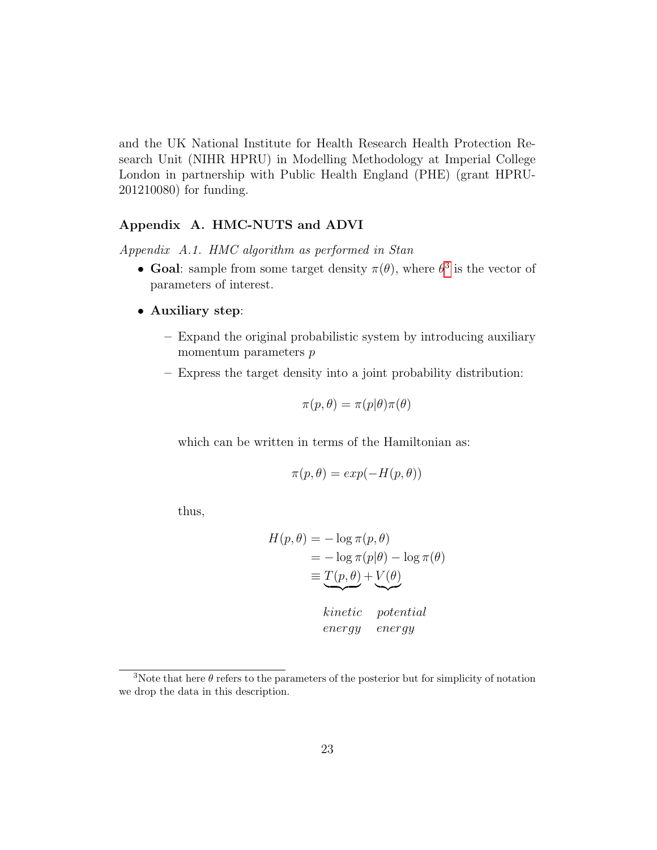and the UK National Institute for Health Research Health Protection Research Unit (NIHR HPRU) in Modelling Methodology at Imperial College London in partnership with Public Health England (PHE) (grant HPRU-201210080) for funding.

# <span id="page-22-0"></span>Appendix A. HMC-NUTS and ADVI

Appendix A.1. HMC algorithm as performed in Stan

- Goal: sample from some target density  $\pi(\theta)$ , where  $\theta^3$  $\theta^3$  is the vector of parameters of interest.
- Auxiliary step:
	- Expand the original probabilistic system by introducing auxiliary momentum parameters p
	- Express the target density into a joint probability distribution:

$$
\pi(p,\theta) = \pi(p|\theta)\pi(\theta)
$$

which can be written in terms of the Hamiltonian as:

$$
\pi(p,\theta) = \exp(-H(p,\theta))
$$

thus,

$$
H(p, \theta) = -\log \pi(p, \theta)
$$
  
= -\log \pi(p|\theta) - \log \pi(\theta)  

$$
\equiv T(p, \theta) + V(\theta)
$$

 $\overline{\phantom{a}}$ 

 $kinetic$  potential  $energy$  energy

 $\sim$ 

<span id="page-22-1"></span><sup>&</sup>lt;sup>3</sup>Note that here  $\theta$  refers to the parameters of the posterior but for simplicity of notation we drop the data in this description.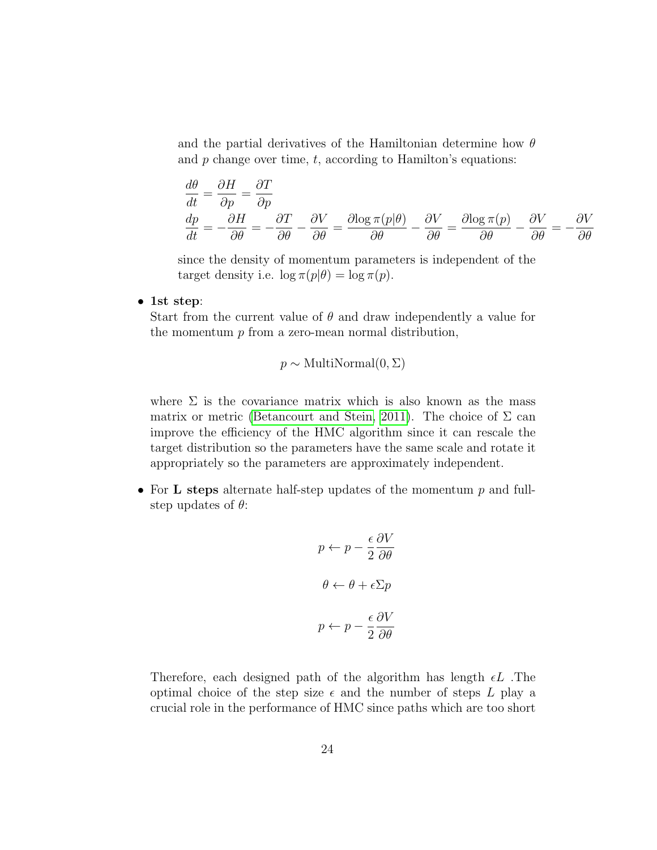and the partial derivatives of the Hamiltonian determine how  $\theta$ and  $p$  change over time,  $t$ , according to Hamilton's equations:

$$
\begin{aligned}\n\frac{d\theta}{dt} &= \frac{\partial H}{\partial p} = \frac{\partial T}{\partial p} \\
\frac{dp}{dt} &= -\frac{\partial H}{\partial \theta} = -\frac{\partial T}{\partial \theta} - \frac{\partial V}{\partial \theta} = \frac{\partial \log \pi(p|\theta)}{\partial \theta} - \frac{\partial V}{\partial \theta} = \frac{\partial \log \pi(p)}{\partial \theta} - \frac{\partial V}{\partial \theta} = -\frac{\partial V}{\partial \theta}\n\end{aligned}
$$

since the density of momentum parameters is independent of the target density i.e.  $\log \pi(p|\theta) = \log \pi(p)$ .

• 1st step:

Start from the current value of  $\theta$  and draw independently a value for the momentum  $p$  from a zero-mean normal distribution,

$$
p \sim \text{MultiNormal}(0, \Sigma)
$$

where  $\Sigma$  is the covariance matrix which is also known as the mass matrix or metric [\(Betancourt and Stein, 2011\)](#page-34-10). The choice of  $\Sigma$  can improve the efficiency of the HMC algorithm since it can rescale the target distribution so the parameters have the same scale and rotate it appropriately so the parameters are approximately independent.

• For L steps alternate half-step updates of the momentum  $p$  and fullstep updates of  $\theta$ :

$$
p \leftarrow p - \frac{\epsilon}{2} \frac{\partial V}{\partial \theta}
$$

$$
\theta \leftarrow \theta + \epsilon \Sigma p
$$

$$
p \leftarrow p - \frac{\epsilon}{2} \frac{\partial V}{\partial \theta}
$$

Therefore, each designed path of the algorithm has length  $\epsilon L$ . The optimal choice of the step size  $\epsilon$  and the number of steps L play a crucial role in the performance of HMC since paths which are too short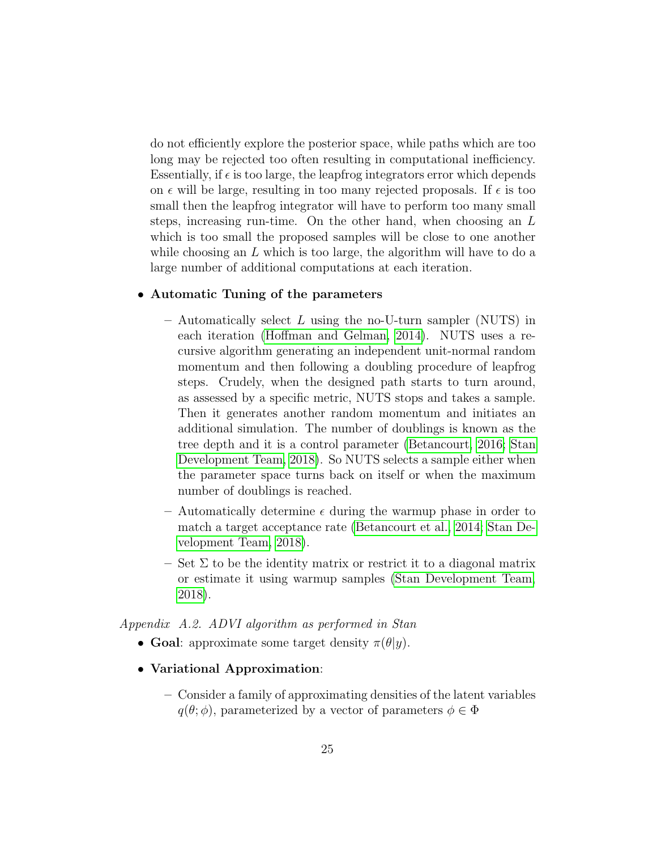do not efficiently explore the posterior space, while paths which are too long may be rejected too often resulting in computational inefficiency. Essentially, if  $\epsilon$  is too large, the leapfrog integrators error which depends on  $\epsilon$  will be large, resulting in too many rejected proposals. If  $\epsilon$  is too small then the leapfrog integrator will have to perform too many small steps, increasing run-time. On the other hand, when choosing an L which is too small the proposed samples will be close to one another while choosing an  $L$  which is too large, the algorithm will have to do a large number of additional computations at each iteration.

#### • Automatic Tuning of the parameters

- Automatically select  $L$  using the no-U-turn sampler (NUTS) in each iteration [\(Hoffman and Gelman, 2014\)](#page-36-2). NUTS uses a recursive algorithm generating an independent unit-normal random momentum and then following a doubling procedure of leapfrog steps. Crudely, when the designed path starts to turn around, as assessed by a specific metric, NUTS stops and takes a sample. Then it generates another random momentum and initiates an additional simulation. The number of doublings is known as the tree depth and it is a control parameter [\(Betancourt, 2016;](#page-34-5) [Stan](#page-38-0) [Development Team, 2018\)](#page-38-0). So NUTS selects a sample either when the parameter space turns back on itself or when the maximum number of doublings is reached.
- Automatically determine  $\epsilon$  during the warmup phase in order to match a target acceptance rate [\(Betancourt et al., 2014;](#page-34-6) [Stan De](#page-38-0)[velopment Team, 2018\)](#page-38-0).
- $-$  Set  $\Sigma$  to be the identity matrix or restrict it to a diagonal matrix or estimate it using warmup samples [\(Stan Development Team,](#page-38-0) [2018\)](#page-38-0).

Appendix A.2. ADVI algorithm as performed in Stan

- Goal: approximate some target density  $\pi(\theta|y)$ .
- Variational Approximation:
	- Consider a family of approximating densities of the latent variables  $q(\theta; \phi)$ , parameterized by a vector of parameters  $\phi \in \Phi$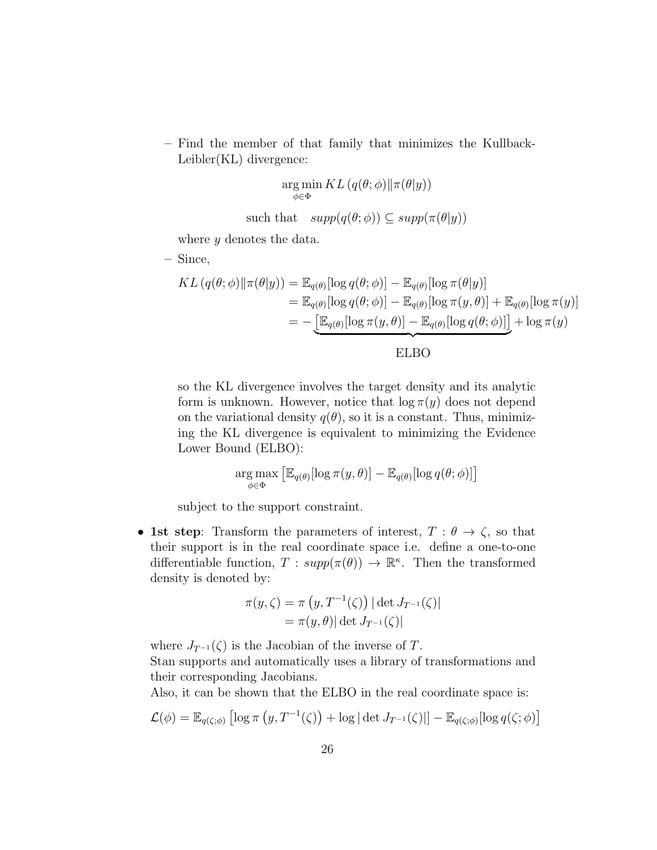– Find the member of that family that minimizes the Kullback-Leibler(KL) divergence:

$$
\argmin_{\phi \in \Phi} KL\left(q(\theta; \phi) \| \pi(\theta | y)\right)
$$

such that  $supp(q(\theta; \phi)) \subseteq supp(\pi(\theta|y))$ 

where y denotes the data.

– Since,

$$
KL (q(\theta; \phi) || \pi(\theta | y)) = \mathbb{E}_{q(\theta)} [\log q(\theta; \phi)] - \mathbb{E}_{q(\theta)} [\log \pi(\theta | y)]
$$
  
=  $\mathbb{E}_{q(\theta)} [\log q(\theta; \phi)] - \mathbb{E}_{q(\theta)} [\log \pi(y, \theta)] + \mathbb{E}_{q(\theta)} [\log \pi(y)]$   
=  $-\underbrace{\left[\mathbb{E}_{q(\theta)} [\log \pi(y, \theta)] - \mathbb{E}_{q(\theta)} [\log q(\theta; \phi)]\right]}_{\text{long}} + \log \pi(y)$ 

$$
\rm ELBO
$$

so the KL divergence involves the target density and its analytic form is unknown. However, notice that  $\log \pi(y)$  does not depend on the variational density  $q(\theta)$ , so it is a constant. Thus, minimizing the KL divergence is equivalent to minimizing the Evidence Lower Bound (ELBO):

$$
\underset{\phi \in \Phi}{\arg \max} \left[ \mathbb{E}_{q(\theta)} [\log \pi(y, \theta)] - \mathbb{E}_{q(\theta)} [\log q(\theta; \phi)] \right]
$$

subject to the support constraint.

• 1st step: Transform the parameters of interest,  $T : \theta \to \zeta$ , so that their support is in the real coordinate space i.e. define a one-to-one differentiable function,  $T : supp(\pi(\theta)) \to \mathbb{R}^k$ . Then the transformed density is denoted by:

$$
\pi(y,\zeta) = \pi (y, T^{-1}(\zeta)) |\det J_{T^{-1}}(\zeta)|
$$
  
=  $\pi(y,\theta) |\det J_{T^{-1}}(\zeta)|$ 

where  $J_{T^{-1}}(\zeta)$  is the Jacobian of the inverse of T.

Stan supports and automatically uses a library of transformations and their corresponding Jacobians.

Also, it can be shown that the ELBO in the real coordinate space is:

$$
\mathcal{L}(\phi) = \mathbb{E}_{q(\zeta;\phi)} \left[ \log \pi \left( y, T^{-1}(\zeta) \right) + \log |\det J_{T^{-1}}(\zeta)| \right] - \mathbb{E}_{q(\zeta;\phi)} [\log q(\zeta;\phi)]
$$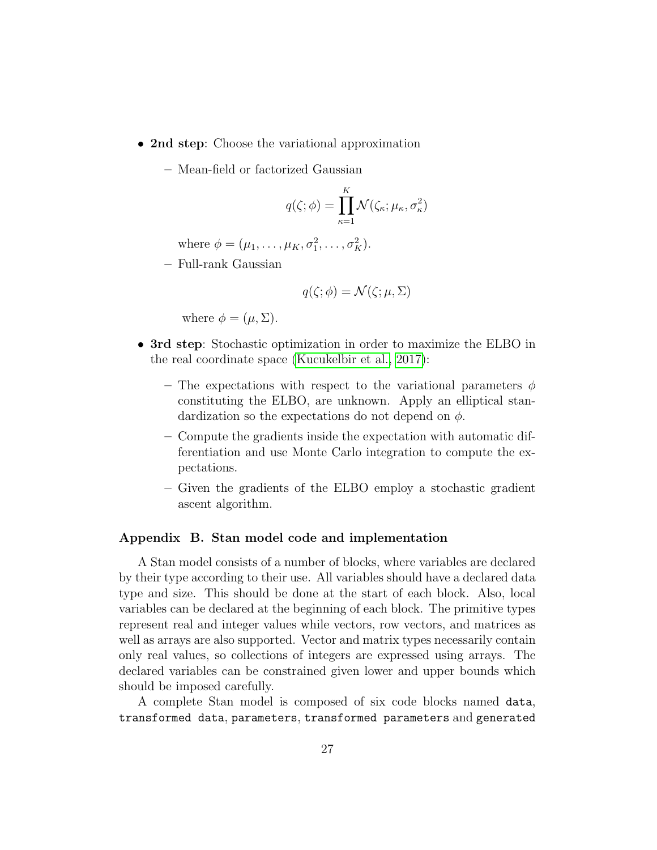- 2nd step: Choose the variational approximation
	- Mean-field or factorized Gaussian

$$
q(\zeta; \phi) = \prod_{\kappa=1}^{K} \mathcal{N}(\zeta_{\kappa}; \mu_{\kappa}, \sigma_{\kappa}^{2})
$$

where  $\phi = (\mu_1, ..., \mu_K, \sigma_1^2, ..., \sigma_K^2)$ .

– Full-rank Gaussian

$$
q(\zeta; \phi) = \mathcal{N}(\zeta; \mu, \Sigma)
$$

where  $\phi = (\mu, \Sigma)$ .

- 3rd step: Stochastic optimization in order to maximize the ELBO in the real coordinate space [\(Kucukelbir et al., 2017\)](#page-36-1):
	- The expectations with respect to the variational parameters  $\phi$ constituting the ELBO, are unknown. Apply an elliptical standardization so the expectations do not depend on  $\phi$ .
	- Compute the gradients inside the expectation with automatic differentiation and use Monte Carlo integration to compute the expectations.
	- Given the gradients of the ELBO employ a stochastic gradient ascent algorithm.

#### <span id="page-26-0"></span>Appendix B. Stan model code and implementation

A Stan model consists of a number of blocks, where variables are declared by their type according to their use. All variables should have a declared data type and size. This should be done at the start of each block. Also, local variables can be declared at the beginning of each block. The primitive types represent real and integer values while vectors, row vectors, and matrices as well as arrays are also supported. Vector and matrix types necessarily contain only real values, so collections of integers are expressed using arrays. The declared variables can be constrained given lower and upper bounds which should be imposed carefully.

A complete Stan model is composed of six code blocks named data, transformed data, parameters, transformed parameters and generated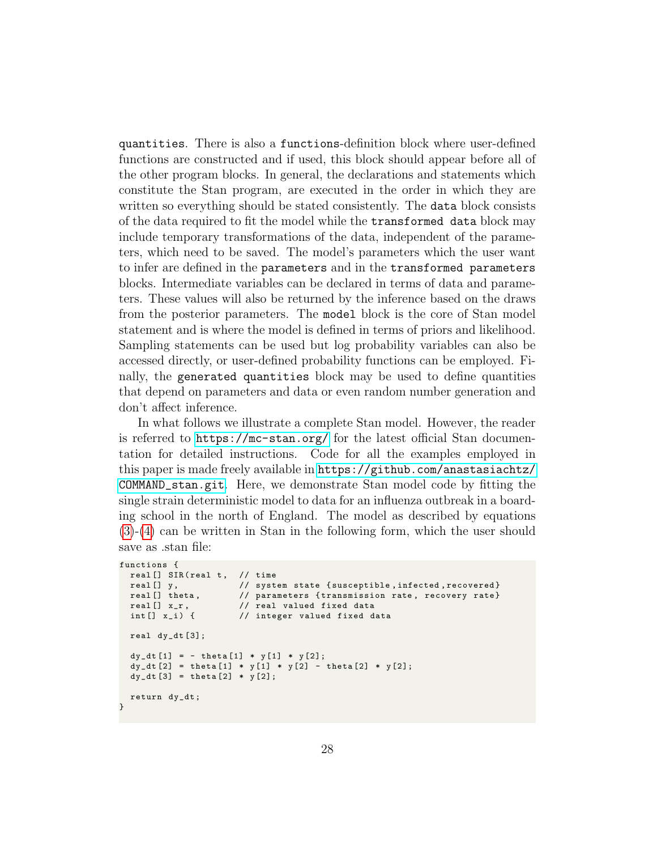quantities. There is also a functions-definition block where user-defined functions are constructed and if used, this block should appear before all of the other program blocks. In general, the declarations and statements which constitute the Stan program, are executed in the order in which they are written so everything should be stated consistently. The data block consists of the data required to fit the model while the transformed data block may include temporary transformations of the data, independent of the parameters, which need to be saved. The model's parameters which the user want to infer are defined in the parameters and in the transformed parameters blocks. Intermediate variables can be declared in terms of data and parameters. These values will also be returned by the inference based on the draws from the posterior parameters. The model block is the core of Stan model statement and is where the model is defined in terms of priors and likelihood. Sampling statements can be used but log probability variables can also be accessed directly, or user-defined probability functions can be employed. Finally, the generated quantities block may be used to define quantities that depend on parameters and data or even random number generation and don't affect inference.

In what follows we illustrate a complete Stan model. However, the reader is referred to <https://mc-stan.org/> for the latest official Stan documentation for detailed instructions. Code for all the examples employed in this paper is made freely available in [https://github.com/anastasiachtz/](https://github.com/anastasiachtz/COMMAND_stan.git) [COMMAND\\_stan.git](https://github.com/anastasiachtz/COMMAND_stan.git). Here, we demonstrate Stan model code by fitting the single strain deterministic model to data for an influenza outbreak in a boarding school in the north of England. The model as described by equations [\(3\)](#page-11-0)-[\(4\)](#page-11-1) can be written in Stan in the following form, which the user should save as .stan file:

```
functions {
  real [] SIR (real t, // time<br>real [] y, // syste
  real [] y, \frac{1}{2} // system state {susceptible, infected, recovered}<br>real [] theta, \frac{1}{2} // parameters {transmission rate, recovery rate}
                              // parameters { transmission rate, recovery rate}
  real [] x_r, x_r, x_{r}, x_{r} , x_{r} and x_{r} integer valued fixed data
                              // integer valued fixed data
  real dy_dt [3];
  dy/dt [1] = - \theta t + \theta t + y[1] * y[2];dy_{-}dt [2] = theta [1] * y [1] * y [2] - theta [2] * y [2];
  dy/dt [3] = theta [2] * y [2];return dy_dt ;
}
```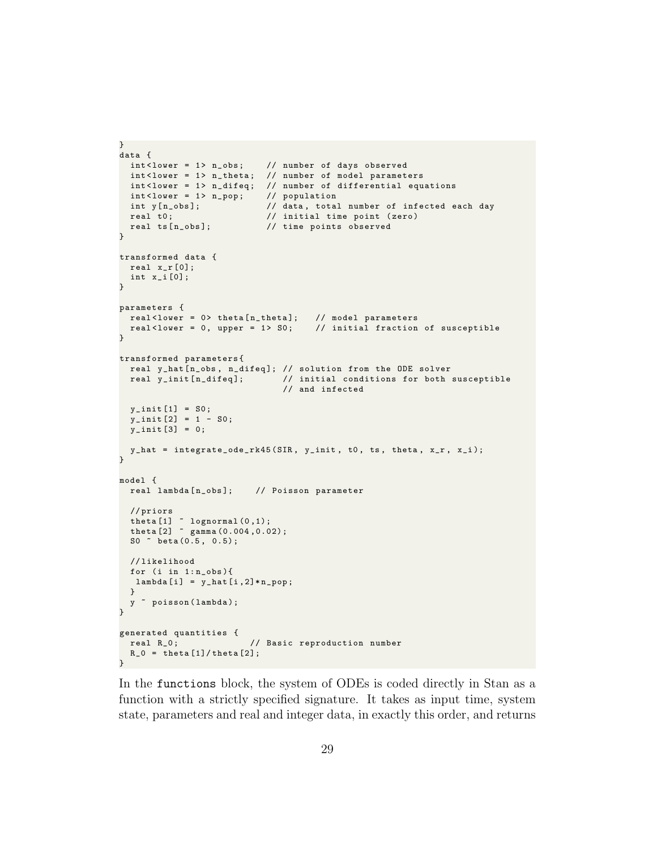```
data {<br>int<lower = 1> n_obs;
                             // number of days observed
  int < lower = 1 > n_theta ; // number of model parameters
  int<lower = 1> n_difeq; // number of differential equations
 int < lower = 1> n_pop; // population
 int y[n_obs]; \frac{1}{2} // data, total number of infected each day
 real t0; \frac{1}{2} // initial time point (zero)
 real ts [n_obs]; \frac{1}{2} // time points observed
}
transformed data {
 real x_r [0];
 int x_i [0];
}
parameters {
 real < lower = 0 > theta [n_{\text{t}}] ; // model parameters
 real < lower = 0, upper = 1 > S0; // initial fraction of susceptible
}
transformed parameters {
 real y_hat [ n_obs , n_difeq ]; // solution from the ODE solver
  real y_init [n_difeq]; \frac{1}{2} // initial conditions for both susceptible
                                // and infected
 y_{\text{init}}[1] = S0;y_{\text{init}}[2] = 1 - S0;y_{\text{init}}[3] = 0;y_hat = integrate_ode_rk45(SIR, y_hinit, t0, ts, theta, x_r, x_hi);
}
model {
 real lambda [n_obs]; // Poisson parameter
 // priors
  theta [1] ~ lognormal (0 ,1);
  theta [2] ~ gamma (0.004 ,0.02);
  S0 ~ beta (0.5 , 0.5);
  // likelihood
 for (i in 1:n_obs){
  lambda[i] = y_hat[i, 2]*n.pop;}
 y \degree poisson (lambda);
}
generated quantities {
                          // Basic reproduction number
 R_0 = \text{theta}[1]/\text{theta}[2];}
```
}

In the functions block, the system of ODEs is coded directly in Stan as a function with a strictly specified signature. It takes as input time, system state, parameters and real and integer data, in exactly this order, and returns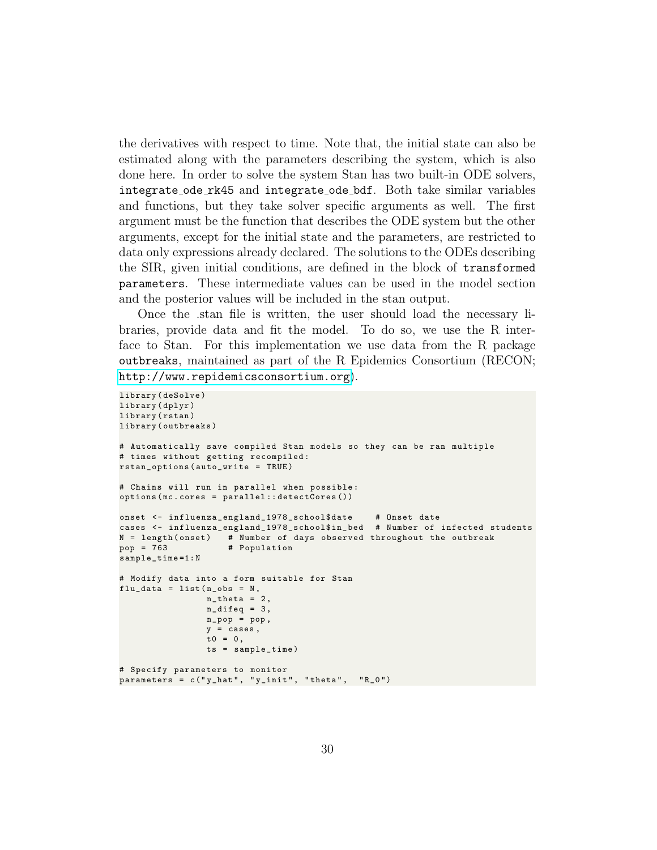the derivatives with respect to time. Note that, the initial state can also be estimated along with the parameters describing the system, which is also done here. In order to solve the system Stan has two built-in ODE solvers, integrate ode rk45 and integrate ode bdf. Both take similar variables and functions, but they take solver specific arguments as well. The first argument must be the function that describes the ODE system but the other arguments, except for the initial state and the parameters, are restricted to data only expressions already declared. The solutions to the ODEs describing the SIR, given initial conditions, are defined in the block of transformed parameters. These intermediate values can be used in the model section and the posterior values will be included in the stan output.

Once the .stan file is written, the user should load the necessary libraries, provide data and fit the model. To do so, we use the R interface to Stan. For this implementation we use data from the R package outbreaks, maintained as part of the R Epidemics Consortium (RECON; <http://www.repidemicsconsortium.org>).

```
library ( deSolve )
library ( dplyr )
library (rstan)
library ( outbreaks )
# Automatically save compiled Stan models so they can be ran multiple
# times without getting recompiled :
rstan_options ( auto_write = TRUE )
# Chains will run in parallel when possible :
options ( mc . cores = parallel :: detectCores ())
onset <- influenza_england_1978_school$date # Onset date
cases <- influenza_england_1978_school$in_bed # Number of infected students
N = length( onset) # Number of days observed throughout the outbreak<br>pop = 763 # Population
                     # Population
sample_time =1: N
# Modify data into a form suitable for Stan
flu_data = list(n_obs = N,n_{\text{theta}} = 2,
                n-difeq = 3,
                n-pop = pop,
                 y = \cases,
                 t0 = 0,ts = sample_time )
# Specify parameters to monitor
parameters = c("y_hat", "y_init", "theta", "R_0")
```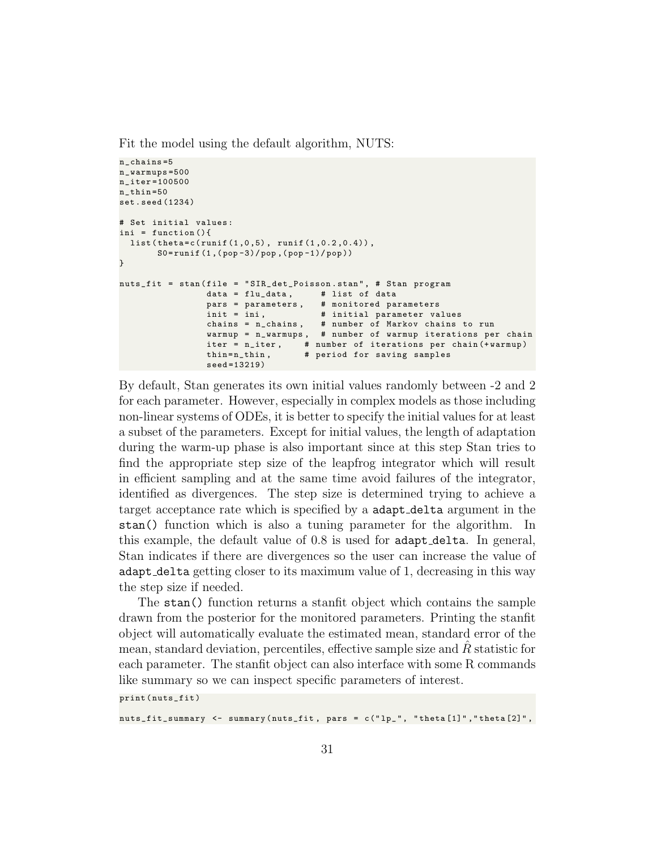Fit the model using the default algorithm, NUTS:

```
n_chains =5
n_warmups =500
n_iter =100500
n_thin =50
set . seed (1234)
# Set initial values :
ini = function () {
  list (theta=c (runif (1,0,5), runif (1,0.2,0.4)),
        S0 = runif (1, (pop -3)/pop, (pop -1)/pop))
\mathbf{I}nuts_fit = stan (file = "SIR_det_Poisson.stan", # Stan program
                  data = flu_data, # list of data<br>pars = parameters, # monitored pa
                  pars = parameters, # monitored parameters<br>init = ini, # initial parameter va
                                          # initial parameter values
                   chains = n_chains , # number of Markov chains to run
                   warmup = n_warmups , # number of warmup iterations per chain
                   iter = n_iter , # number of iterations per chain (+ warmup )
                   thin=n_thin, # period for saving samples
                   seed =13219)
```
By default, Stan generates its own initial values randomly between -2 and 2 for each parameter. However, especially in complex models as those including non-linear systems of ODEs, it is better to specify the initial values for at least a subset of the parameters. Except for initial values, the length of adaptation during the warm-up phase is also important since at this step Stan tries to find the appropriate step size of the leapfrog integrator which will result in efficient sampling and at the same time avoid failures of the integrator, identified as divergences. The step size is determined trying to achieve a target acceptance rate which is specified by a adapt delta argument in the stan() function which is also a tuning parameter for the algorithm. In this example, the default value of 0.8 is used for adapt delta. In general, Stan indicates if there are divergences so the user can increase the value of adapt delta getting closer to its maximum value of 1, decreasing in this way the step size if needed.

The stan() function returns a stanfit object which contains the sample drawn from the posterior for the monitored parameters. Printing the stanfit object will automatically evaluate the estimated mean, standard error of the mean, standard deviation, percentiles, effective sample size and  $R$  statistic for each parameter. The stanfit object can also interface with some R commands like summary so we can inspect specific parameters of interest.

```
print ( nuts_fit )
```
nuts\_fit\_summary <- summary (nuts\_fit, pars = c("1p\_", "theta[1]", "theta[2]",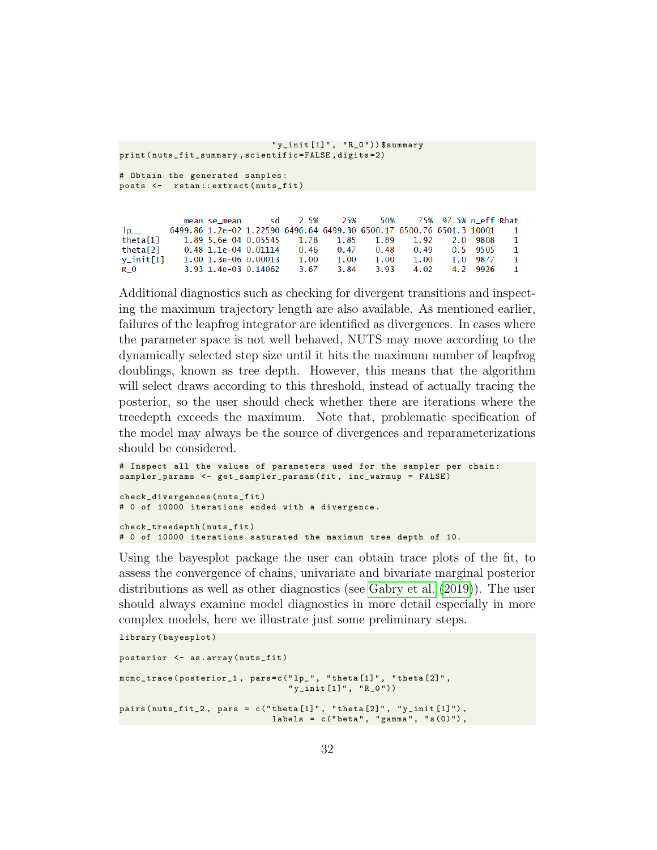```
"v_init[1]", "R_0")) $summary
print ( nuts_fit_summary , scientific = FALSE , digits =2)
# Obtain the generated samples :
posts <- rstan::extract(nuts_fit)
```

|                | mean se_mean               | sd 2.5% | 25%  |      | 50% 75% 97.5% n eff Rhat                                               |                   |          |              |
|----------------|----------------------------|---------|------|------|------------------------------------------------------------------------|-------------------|----------|--------------|
| $\mathbf{p}$   |                            |         |      |      | 6499.86 1.2e-02 1.22590 6496.64 6499.30 6500.17 6500.76 6501.3 10001 1 |                   |          |              |
| theta[1]       |                            |         |      |      | 1.89 5.6e-04 0.05545 1.78 1.85 1.89 1.92 2.0 9808                      |                   |          | $\mathbf{1}$ |
| theta[2]       | $0.48$ 1.1e-04 0.01114     | 0.46    | 0.47 | 0.48 |                                                                        | $0.49$ $0.5$ 9505 |          | $\mathbf{1}$ |
| y_init[1]      | $1.00$ $1.3e-06$ $0.00013$ | 1.00    | 1.00 | 1.00 | 1.00                                                                   |                   | 1.0 9877 | $\mathbf{1}$ |
| R <sub>0</sub> | 3.93 1.4e-03 0.14062       | 3.67    | 3.84 | 3.93 |                                                                        | 4.02 4.2 9926     |          | $\mathbf{1}$ |

Additional diagnostics such as checking for divergent transitions and inspecting the maximum trajectory length are also available. As mentioned earlier, failures of the leapfrog integrator are identified as divergences. In cases where the parameter space is not well behaved, NUTS may move according to the dynamically selected step size until it hits the maximum number of leapfrog doublings, known as tree depth. However, this means that the algorithm will select draws according to this threshold, instead of actually tracing the posterior, so the user should check whether there are iterations where the treedepth exceeds the maximum. Note that, problematic specification of the model may always be the source of divergences and reparameterizations should be considered.

```
# Inspect all the values of parameters used for the sampler per chain :
sampler_params <- get_sampler_params (fit, inc_warmup = FALSE)
check_divergences ( nuts_fit )
# 0 of 10000 iterations ended with a divergence .
check_treedepth ( nuts_fit )
# 0 of 10000 iterations saturated the maximum tree depth of 10.
```
Using the bayesplot package the user can obtain trace plots of the fit, to assess the convergence of chains, univariate and bivariate marginal posterior distributions as well as other diagnostics (see [Gabry et al. \(2019\)](#page-35-8)). The user should always examine model diagnostics in more detail especially in more complex models, here we illustrate just some preliminary steps.

library ( bayesplot )

```
posterior <- as . array ( nuts_fit )
mcmc_trace (posterior_1, pars=c("lp_", "theta[1]", "theta[2]",
                                "y_init [1]", "R_0"))
pairs (nuts_fit_2, pars = c("theta[1]", "theta[2]", "y_init[1]"),
                             labels = c("beta", "gamma", "s(0)");
```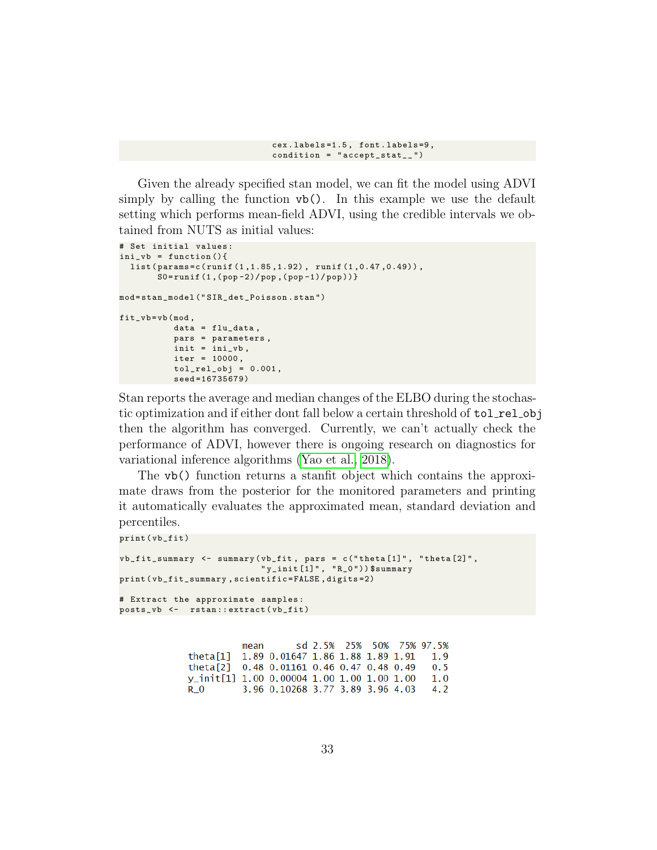cex . labels =1.5 , font . labels =9 ,  $condition = "accept\_stat__")$ 

Given the already specified stan model, we can fit the model using ADVI simply by calling the function vb(). In this example we use the default setting which performs mean-field ADVI, using the credible intervals we obtained from NUTS as initial values:

```
# Set initial values :
\text{ini}_\text{v} = function () {
  list ( params = c ( runif ( 1, 1.85, 1.92), runif ( 1, 0.47, 0.49)),
        S0=runif (1, (pop-2)/pop, (pop-1)/pop))}
mod = stan_model (" SIR_det_Poisson . stan ")
fit_vb=vb(mod,
           data = flu_data ,
           pars = parameters ,
           init = ini_vb,iter = 10000 ,
            tol_{rel\_obj} = 0.001,
            seed =16735679)
```
Stan reports the average and median changes of the ELBO during the stochastic optimization and if either dont fall below a certain threshold of tol rel obj then the algorithm has converged. Currently, we can't actually check the performance of ADVI, however there is ongoing research on diagnostics for variational inference algorithms [\(Yao et al., 2018\)](#page-38-7).

The vb() function returns a stanfit object which contains the approximate draws from the posterior for the monitored parameters and printing it automatically evaluates the approximated mean, standard deviation and percentiles.

```
print (vb_fit)
vb\_fit\_summary <- summary (vb\_fit, pars = c ("theta [1]", "theta [2]",
                            " y_init [1] ", "R_0")) $summary
print ( vb_fit_summary , scientific = FALSE , digits =2)
# Extract the approximate samples :
posts_vb <- rstan::extract (vb_fit)
                        mean
                                   sd 2.5% 25% 50% 75% 97.5%
```
theta[1] 1.89 0.01647 1.86 1.88 1.89 1.91 1.9 theta[2] 0.48 0.01161 0.46 0.47 0.48 0.49  $0.5$ y\_init[1] 1.00 0.00004 1.00 1.00 1.00 1.00 1.0 3.96 0.10268 3.77 3.89 3.96 4.03 4.2  $R_0$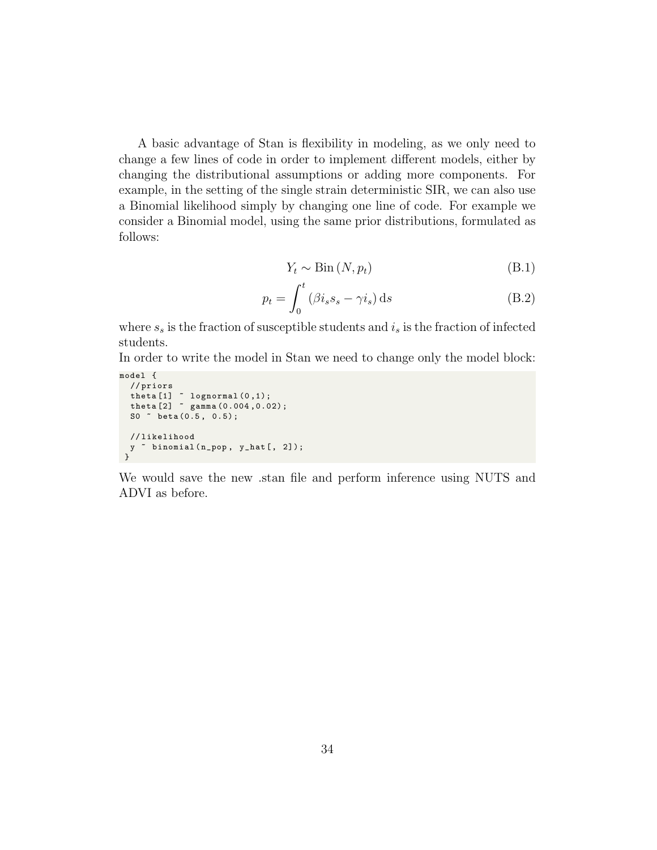A basic advantage of Stan is flexibility in modeling, as we only need to change a few lines of code in order to implement different models, either by changing the distributional assumptions or adding more components. For example, in the setting of the single strain deterministic SIR, we can also use a Binomial likelihood simply by changing one line of code. For example we consider a Binomial model, using the same prior distributions, formulated as follows:

$$
Y_t \sim \text{Bin}\left(N, p_t\right) \tag{B.1}
$$

$$
p_t = \int_0^t \left(\beta i_s s_s - \gamma i_s\right) \, \mathrm{d}s\tag{B.2}
$$

where  $s_s$  is the fraction of susceptible students and  $i_s$  is the fraction of infected students.

In order to write the model in Stan we need to change only the model block:

```
model {
  // priors
  theta [1] ~ lognormal (0 ,1);
  theta [2] ~ gamma (0.004 ,0.02);
  S0 ~ beta (0.5 , 0.5);
  // likelihood
  y \sim binomial (n_{p}op, y_{h}at [, 2]);
 }
```
We would save the new .stan file and perform inference using NUTS and ADVI as before.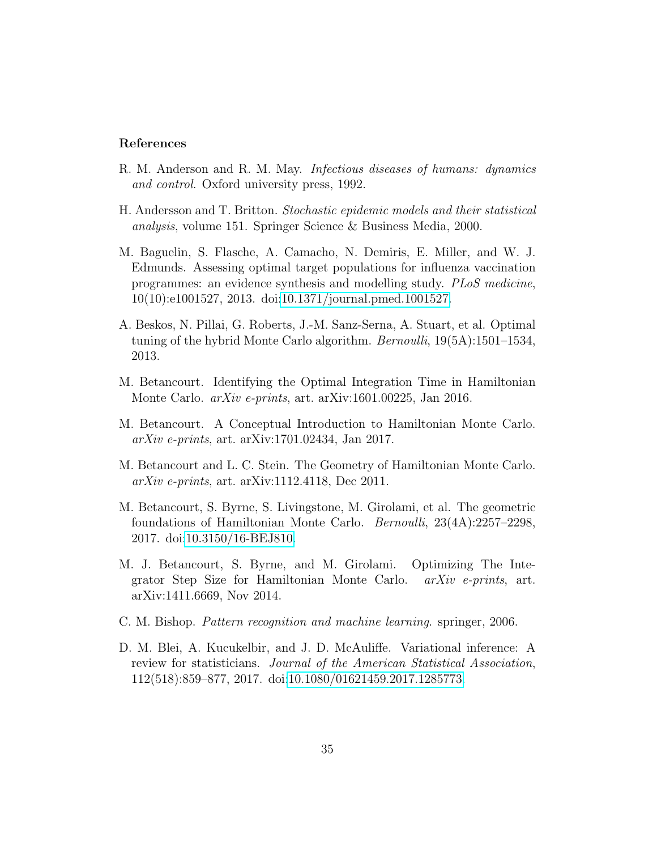#### References

- <span id="page-34-8"></span>R. M. Anderson and R. M. May. Infectious diseases of humans: dynamics and control. Oxford university press, 1992.
- <span id="page-34-9"></span>H. Andersson and T. Britton. Stochastic epidemic models and their statistical analysis, volume 151. Springer Science & Business Media, 2000.
- <span id="page-34-0"></span>M. Baguelin, S. Flasche, A. Camacho, N. Demiris, E. Miller, and W. J. Edmunds. Assessing optimal target populations for influenza vaccination programmes: an evidence synthesis and modelling study. PLoS medicine, 10(10):e1001527, 2013. doi[:10.1371/journal.pmed.1001527.](http://dx.doi.org/10.1371/journal.pmed.1001527)
- <span id="page-34-4"></span>A. Beskos, N. Pillai, G. Roberts, J.-M. Sanz-Serna, A. Stuart, et al. Optimal tuning of the hybrid Monte Carlo algorithm. Bernoulli, 19(5A):1501–1534, 2013.
- <span id="page-34-5"></span>M. Betancourt. Identifying the Optimal Integration Time in Hamiltonian Monte Carlo. *arXiv e-prints*, art. arXiv:1601.00225, Jan 2016.
- <span id="page-34-1"></span>M. Betancourt. A Conceptual Introduction to Hamiltonian Monte Carlo. arXiv e-prints, art. arXiv:1701.02434, Jan 2017.
- <span id="page-34-10"></span>M. Betancourt and L. C. Stein. The Geometry of Hamiltonian Monte Carlo.  $arXiv$  e-prints, art. arXiv:1112.4118, Dec 2011.
- <span id="page-34-3"></span>M. Betancourt, S. Byrne, S. Livingstone, M. Girolami, et al. The geometric foundations of Hamiltonian Monte Carlo. Bernoulli, 23(4A):2257–2298, 2017. doi[:10.3150/16-BEJ810.](http://dx.doi.org/10.3150/16-BEJ810)
- <span id="page-34-6"></span>M. J. Betancourt, S. Byrne, and M. Girolami. Optimizing The Integrator Step Size for Hamiltonian Monte Carlo. arXiv e-prints, art. arXiv:1411.6669, Nov 2014.
- <span id="page-34-7"></span>C. M. Bishop. Pattern recognition and machine learning. springer, 2006.
- <span id="page-34-2"></span>D. M. Blei, A. Kucukelbir, and J. D. McAuliffe. Variational inference: A review for statisticians. Journal of the American Statistical Association, 112(518):859–877, 2017. doi[:10.1080/01621459.2017.1285773.](http://dx.doi.org/10.1080/01621459.2017.1285773)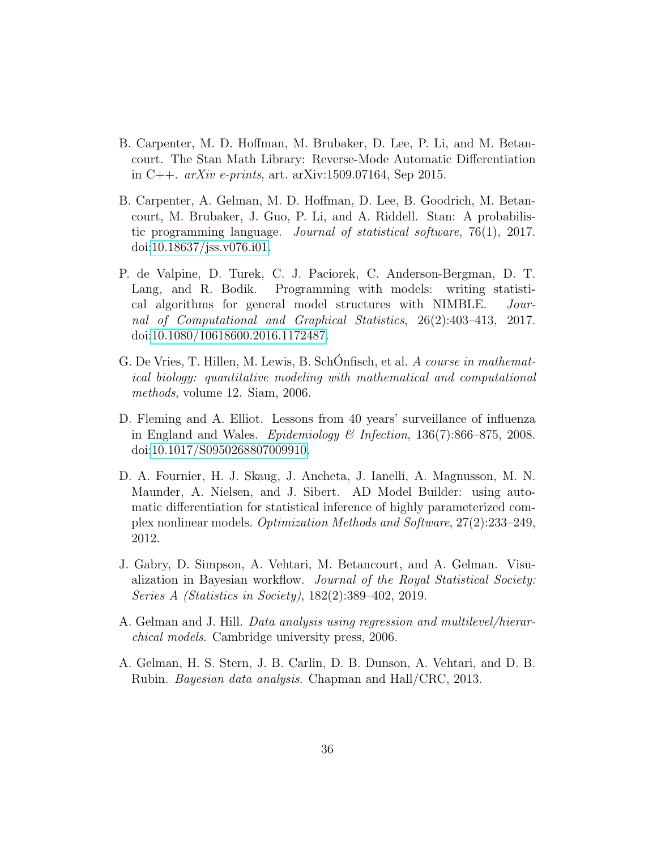- <span id="page-35-3"></span>B. Carpenter, M. D. Hoffman, M. Brubaker, D. Lee, P. Li, and M. Betancourt. The Stan Math Library: Reverse-Mode Automatic Differentiation in C++. arXiv e-prints, art. arXiv:1509.07164, Sep 2015.
- <span id="page-35-2"></span>B. Carpenter, A. Gelman, M. D. Hoffman, D. Lee, B. Goodrich, M. Betancourt, M. Brubaker, J. Guo, P. Li, and A. Riddell. Stan: A probabilistic programming language. Journal of statistical software, 76(1), 2017. doi[:10.18637/jss.v076.i01.](http://dx.doi.org/10.18637/jss.v076.i01)
- <span id="page-35-0"></span>P. de Valpine, D. Turek, C. J. Paciorek, C. Anderson-Bergman, D. T. Lang, and R. Bodik. Programming with models: writing statistical algorithms for general model structures with NIMBLE. Journal of Computational and Graphical Statistics, 26(2):403–413, 2017. doi[:10.1080/10618600.2016.1172487.](http://dx.doi.org/10.1080/10618600.2016.1172487)
- <span id="page-35-6"></span>G. De Vries, T. Hillen, M. Lewis, B. SchOnfisch, et al. A course in mathematical biology: quantitative modeling with mathematical and computational methods, volume 12. Siam, 2006.
- <span id="page-35-5"></span>D. Fleming and A. Elliot. Lessons from 40 years' surveillance of influenza in England and Wales. Epidemiology & Infection,  $136(7)$ :866–875, 2008. doi[:10.1017/S0950268807009910.](http://dx.doi.org/10.1017/S0950268807009910)
- <span id="page-35-1"></span>D. A. Fournier, H. J. Skaug, J. Ancheta, J. Ianelli, A. Magnusson, M. N. Maunder, A. Nielsen, and J. Sibert. AD Model Builder: using automatic differentiation for statistical inference of highly parameterized complex nonlinear models. Optimization Methods and Software, 27(2):233–249, 2012.
- <span id="page-35-8"></span>J. Gabry, D. Simpson, A. Vehtari, M. Betancourt, and A. Gelman. Visualization in Bayesian workflow. Journal of the Royal Statistical Society: Series A (Statistics in Society), 182(2):389–402, 2019.
- <span id="page-35-4"></span>A. Gelman and J. Hill. Data analysis using regression and multilevel/hierarchical models. Cambridge university press, 2006.
- <span id="page-35-7"></span>A. Gelman, H. S. Stern, J. B. Carlin, D. B. Dunson, A. Vehtari, and D. B. Rubin. Bayesian data analysis. Chapman and Hall/CRC, 2013.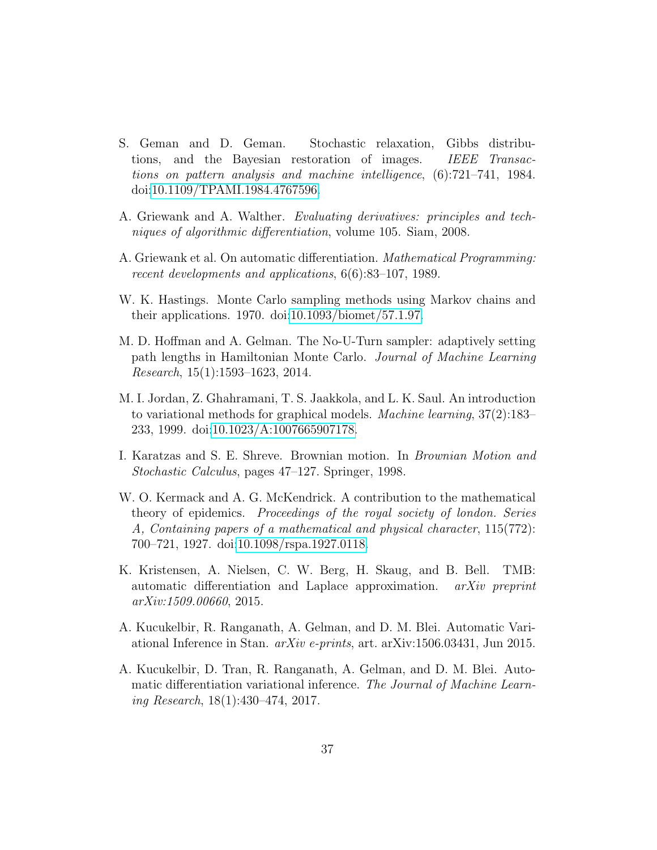- <span id="page-36-7"></span>S. Geman and D. Geman. Stochastic relaxation, Gibbs distributions, and the Bayesian restoration of images. IEEE Transactions on pattern analysis and machine intelligence, (6):721–741, 1984. doi[:10.1109/TPAMI.1984.4767596.](http://dx.doi.org/10.1109/TPAMI.1984.4767596)
- <span id="page-36-3"></span>A. Griewank and A. Walther. Evaluating derivatives: principles and techniques of algorithmic differentiation, volume 105. Siam, 2008.
- <span id="page-36-4"></span>A. Griewank et al. On automatic differentiation. Mathematical Programming: recent developments and applications, 6(6):83–107, 1989.
- <span id="page-36-6"></span>W. K. Hastings. Monte Carlo sampling methods using Markov chains and their applications. 1970. doi[:10.1093/biomet/57.1.97.](http://dx.doi.org/10.1093/biomet/57.1.97)
- <span id="page-36-2"></span>M. D. Hoffman and A. Gelman. The No-U-Turn sampler: adaptively setting path lengths in Hamiltonian Monte Carlo. Journal of Machine Learning Research, 15(1):1593–1623, 2014.
- <span id="page-36-8"></span>M. I. Jordan, Z. Ghahramani, T. S. Jaakkola, and L. K. Saul. An introduction to variational methods for graphical models. Machine learning, 37(2):183– 233, 1999. doi[:10.1023/A:1007665907178.](http://dx.doi.org/10.1023/A:1007665907178)
- <span id="page-36-10"></span>I. Karatzas and S. E. Shreve. Brownian motion. In Brownian Motion and Stochastic Calculus, pages 47–127. Springer, 1998.
- <span id="page-36-9"></span>W. O. Kermack and A. G. McKendrick. A contribution to the mathematical theory of epidemics. Proceedings of the royal society of london. Series A, Containing papers of a mathematical and physical character, 115(772): 700–721, 1927. doi[:10.1098/rspa.1927.0118.](http://dx.doi.org/10.1098/rspa.1927.0118)
- <span id="page-36-0"></span>K. Kristensen, A. Nielsen, C. W. Berg, H. Skaug, and B. Bell. TMB: automatic differentiation and Laplace approximation. arXiv preprint arXiv:1509.00660, 2015.
- <span id="page-36-5"></span>A. Kucukelbir, R. Ranganath, A. Gelman, and D. M. Blei. Automatic Variational Inference in Stan. arXiv e-prints, art. arXiv:1506.03431, Jun 2015.
- <span id="page-36-1"></span>A. Kucukelbir, D. Tran, R. Ranganath, A. Gelman, and D. M. Blei. Automatic differentiation variational inference. The Journal of Machine Learning Research, 18(1):430–474, 2017.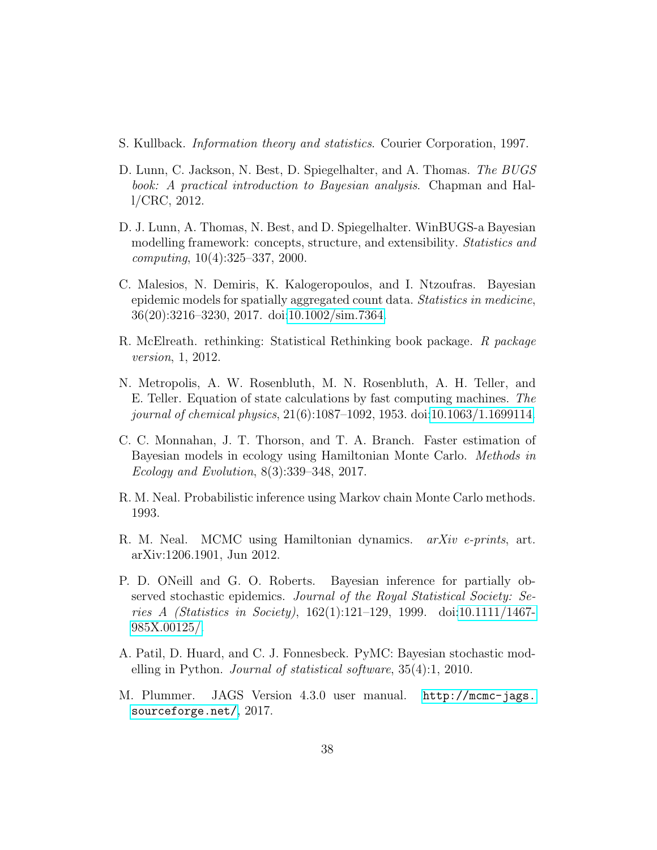- <span id="page-37-9"></span>S. Kullback. Information theory and statistics. Courier Corporation, 1997.
- <span id="page-37-10"></span>D. Lunn, C. Jackson, N. Best, D. Spiegelhalter, and A. Thomas. The BUGS book: A practical introduction to Bayesian analysis. Chapman and Hall/CRC, 2012.
- <span id="page-37-0"></span>D. J. Lunn, A. Thomas, N. Best, and D. Spiegelhalter. WinBUGS-a Bayesian modelling framework: concepts, structure, and extensibility. *Statistics and* computing, 10(4):325–337, 2000.
- <span id="page-37-11"></span>C. Malesios, N. Demiris, K. Kalogeropoulos, and I. Ntzoufras. Bayesian epidemic models for spatially aggregated count data. Statistics in medicine, 36(20):3216–3230, 2017. doi[:10.1002/sim.7364.](http://dx.doi.org/10.1002/sim.7364)
- <span id="page-37-5"></span>R. McElreath. rethinking: Statistical Rethinking book package. R package version, 1, 2012.
- <span id="page-37-6"></span>N. Metropolis, A. W. Rosenbluth, M. N. Rosenbluth, A. H. Teller, and E. Teller. Equation of state calculations by fast computing machines. The journal of chemical physics, 21(6):1087–1092, 1953. doi[:10.1063/1.1699114.](http://dx.doi.org/10.1063/1.1699114)
- <span id="page-37-8"></span>C. C. Monnahan, J. T. Thorson, and T. A. Branch. Faster estimation of Bayesian models in ecology using Hamiltonian Monte Carlo. Methods in Ecology and Evolution, 8(3):339–348, 2017.
- <span id="page-37-7"></span>R. M. Neal. Probabilistic inference using Markov chain Monte Carlo methods. 1993.
- <span id="page-37-4"></span>R. M. Neal. MCMC using Hamiltonian dynamics. *arXiv e-prints*, art. arXiv:1206.1901, Jun 2012.
- <span id="page-37-3"></span>P. D. ONeill and G. O. Roberts. Bayesian inference for partially observed stochastic epidemics. Journal of the Royal Statistical Society: Series A (Statistics in Society), 162(1):121–129, 1999. doi[:10.1111/1467-](http://dx.doi.org/10.1111/1467-985X.00125/) [985X.00125/.](http://dx.doi.org/10.1111/1467-985X.00125/)
- <span id="page-37-2"></span>A. Patil, D. Huard, and C. J. Fonnesbeck. PyMC: Bayesian stochastic modelling in Python. Journal of statistical software, 35(4):1, 2010.
- <span id="page-37-1"></span>M. Plummer. JAGS Version 4.3.0 user manual. [http://mcmc-jags.](http://mcmc-jags.sourceforge.net/) [sourceforge.net/](http://mcmc-jags.sourceforge.net/), 2017.